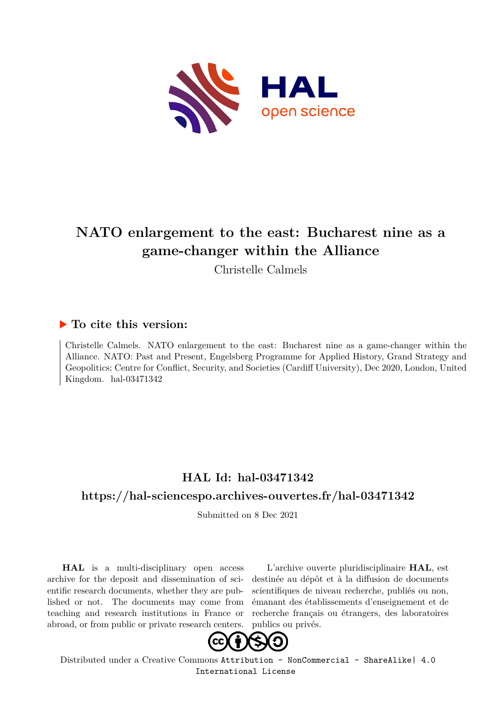

# **NATO enlargement to the east: Bucharest nine as a game-changer within the Alliance**

Christelle Calmels

# **To cite this version:**

Christelle Calmels. NATO enlargement to the east: Bucharest nine as a game-changer within the Alliance. NATO: Past and Present, Engelsberg Programme for Applied History, Grand Strategy and Geopolitics; Centre for Conflict, Security, and Societies (Cardiff University), Dec 2020, London, United Kingdom.  $hal-03471342$ 

# **HAL Id: hal-03471342**

# **<https://hal-sciencespo.archives-ouvertes.fr/hal-03471342>**

Submitted on 8 Dec 2021

**HAL** is a multi-disciplinary open access archive for the deposit and dissemination of scientific research documents, whether they are published or not. The documents may come from teaching and research institutions in France or abroad, or from public or private research centers.

L'archive ouverte pluridisciplinaire **HAL**, est destinée au dépôt et à la diffusion de documents scientifiques de niveau recherche, publiés ou non, émanant des établissements d'enseignement et de recherche français ou étrangers, des laboratoires publics ou privés.



Distributed under a Creative Commons [Attribution - NonCommercial - ShareAlike| 4.0](http://creativecommons.org/licenses/by-nc-sa/4.0/) [International License](http://creativecommons.org/licenses/by-nc-sa/4.0/)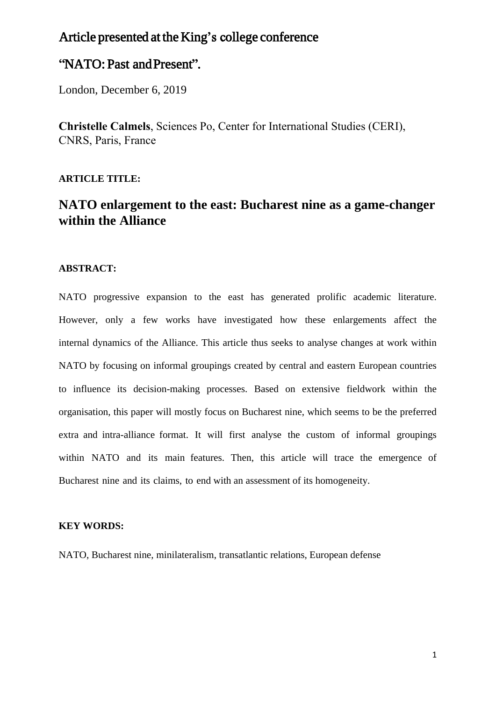# Article presented at the King's college conference

# "NATO: Past and Present".

London, December 6, 2019

**Christelle Calmels**, Sciences Po, Center for International Studies (CERI), CNRS, Paris, France

#### **ARTICLE TITLE:**

# **NATO enlargement to the east: Bucharest nine as a game-changer within the Alliance**

#### **ABSTRACT:**

NATO progressive expansion to the east has generated prolific academic literature. However, only a few works have investigated how these enlargements affect the internal dynamics of the Alliance. This article thus seeks to analyse changes at work within NATO by focusing on informal groupings created by central and eastern European countries to influence its decision-making processes. Based on extensive fieldwork within the organisation, this paper will mostly focus on Bucharest nine, which seems to be the preferred extra and intra-alliance format. It will first analyse the custom of informal groupings within NATO and its main features. Then, this article will trace the emergence of Bucharest nine and its claims, to end with an assessment of its homogeneity.

#### **KEY WORDS:**

NATO, Bucharest nine, minilateralism, transatlantic relations, European defense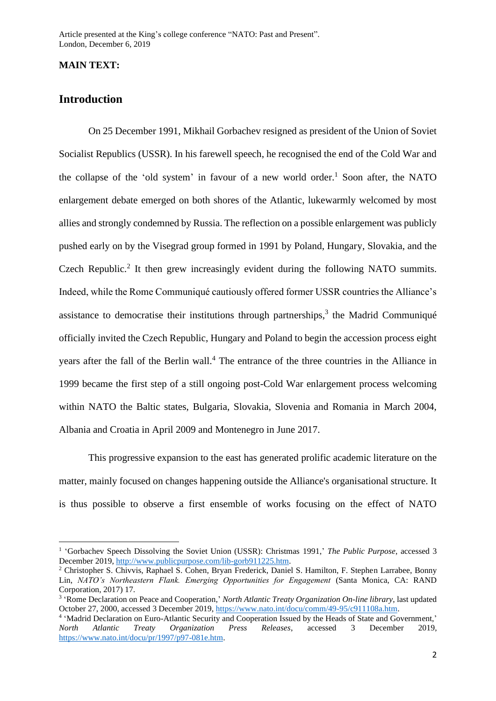#### **MAIN TEXT:**

# **Introduction**

On 25 December 1991, Mikhail Gorbachev resigned as president of the Union of Soviet Socialist Republics (USSR). In his farewell speech, he recognised the end of the Cold War and the collapse of the 'old system' in favour of a new world order. <sup>1</sup> Soon after, the NATO enlargement debate emerged on both shores of the Atlantic, lukewarmly welcomed by most allies and strongly condemned by Russia. The reflection on a possible enlargement was publicly pushed early on by the Visegrad group formed in 1991 by Poland, Hungary, Slovakia, and the Czech Republic.<sup>2</sup> It then grew increasingly evident during the following NATO summits. Indeed, while the Rome Communiqué cautiously offered former USSR countries the Alliance's assistance to democratise their institutions through partnerships, $3$  the Madrid Communiqué officially invited the Czech Republic, Hungary and Poland to begin the accession process eight years after the fall of the Berlin wall.<sup>4</sup> The entrance of the three countries in the Alliance in 1999 became the first step of a still ongoing post-Cold War enlargement process welcoming within NATO the Baltic states, Bulgaria, Slovakia, Slovenia and Romania in March 2004, Albania and Croatia in April 2009 and Montenegro in June 2017.

This progressive expansion to the east has generated prolific academic literature on the matter, mainly focused on changes happening outside the Alliance's organisational structure. It is thus possible to observe a first ensemble of works focusing on the effect of NATO

<sup>&</sup>lt;sup>1</sup> 'Gorbachev Speech Dissolving the Soviet Union (USSR): Christmas 1991,' *The Public Purpose*, accessed 3 December 2019, [http://www.publicpurpose.com/lib-gorb911225.htm.](http://www.publicpurpose.com/lib-gorb911225.htm)

<sup>2</sup> Christopher S. Chivvis, Raphael S. Cohen, Bryan Frederick, Daniel S. Hamilton, F. Stephen Larrabee, Bonny Lin, *NATO's Northeastern Flank. Emerging Opportunities for Engagement* (Santa Monica, CA: RAND Corporation, 2017) 17.

<sup>3</sup> 'Rome Declaration on Peace and Cooperation,' *North Atlantic Treaty Organization On-line library*, last updated October 27, 2000, accessed 3 December 2019, [https://www.nato.int/docu/comm/49-95/c911108a.htm.](https://www.nato.int/docu/comm/49-95/c911108a.htm)

<sup>&</sup>lt;sup>4</sup> 'Madrid Declaration on Euro-Atlantic Security and Cooperation Issued by the Heads of State and Government,' *North Atlantic Treaty Organization Press Releases*, accessed 3 December 2019, [https://www.nato.int/docu/pr/1997/p97-081e.htm.](https://www.nato.int/docu/pr/1997/p97-081e.htm)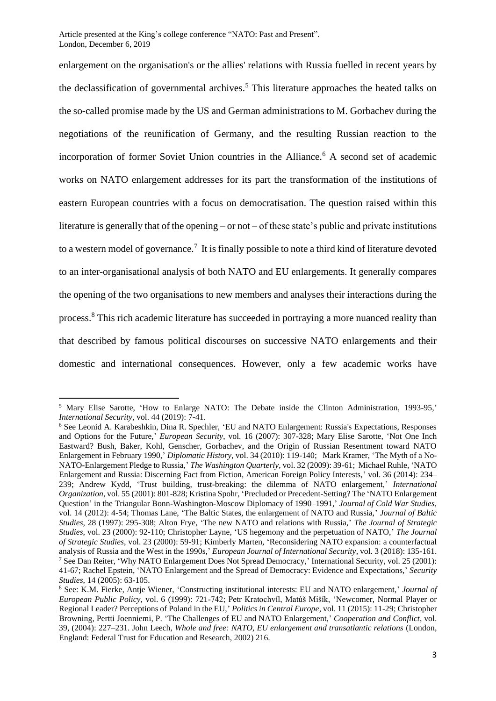enlargement on the organisation's or the allies' relations with Russia fuelled in recent years by the declassification of governmental archives.<sup>5</sup> This literature approaches the heated talks on the so-called promise made by the US and German administrations to M. Gorbachev during the negotiations of the reunification of Germany, and the resulting Russian reaction to the incorporation of former Soviet Union countries in the Alliance.<sup>6</sup> A second set of academic works on NATO enlargement addresses for its part the transformation of the institutions of eastern European countries with a focus on democratisation. The question raised within this literature is generally that of the opening – or not – of these state's public and private institutions to a western model of governance.<sup>7</sup> It is finally possible to note a third kind of literature devoted to an inter-organisational analysis of both NATO and EU enlargements. It generally compares the opening of the two organisations to new members and analyses their interactions during the process.<sup>8</sup> This rich academic literature has succeeded in portraying a more nuanced reality than that described by famous political discourses on successive NATO enlargements and their domestic and international consequences. However, only a few academic works have

<sup>&</sup>lt;sup>5</sup> Mary Elise Sarotte, 'How to Enlarge NATO: The Debate inside the Clinton Administration, 1993-95,' *International Security*, vol. 44 (2019): 7-41.

<sup>6</sup> See Leonid A. Karabeshkin, Dina R. Spechler, 'EU and NATO Enlargement: Russia's Expectations, Responses and Options for the Future,' *European Security*, vol. 16 (2007): 307-328; Mary Elise Sarotte, 'Not One Inch Eastward? Bush, Baker, Kohl, Genscher, Gorbachev, and the Origin of Russian Resentment toward NATO Enlargement in February 1990,' *Diplomatic History*, vol. 34 (2010): 119-140; Mark Kramer, 'The Myth of a No-NATO-Enlargement Pledge to Russia,' *The Washington Quarterly*, vol. 32 (2009): 39-61; Michael Ruhle, 'NATO Enlargement and Russia: Discerning Fact from Fiction, American Foreign Policy Interests,' vol. 36 (2014): 234– 239; Andrew Kydd, 'Trust building, trust-breaking: the dilemma of NATO enlargement,' *International Organization*, vol. 55 (2001): 801-828; Kristina Spohr, 'Precluded or Precedent-Setting? The 'NATO Enlargement Question' in the Triangular Bonn-Washington-Moscow Diplomacy of 1990–1991,' *Journal of Cold War Studies,* vol. 14 (2012): 4-54; Thomas Lane, 'The Baltic States, the enlargement of NATO and Russia,' *Journal of Baltic Studies*, 28 (1997): 295-308; Alton Frye, 'The new NATO and relations with Russia,' *The Journal of Strategic Studies*, vol. 23 (2000): 92-110; Christopher Layne, 'US hegemony and the perpetuation of NATO,' *The Journal of Strategic Studies*, vol. 23 (2000): 59-91; Kimberly Marten, 'Reconsidering NATO expansion: a counterfactual analysis of Russia and the West in the 1990s,' *European Journal of International Security*, vol. 3 (2018): 135-161. <sup>7</sup> See Dan Reiter, 'Why NATO Enlargement Does Not Spread Democracy,' International Security, vol. 25 (2001): 41-67; Rachel Epstein, 'NATO Enlargement and the Spread of Democracy: Evidence and Expectations,' *Security Studies*, 14 (2005): 63-105.

<sup>8</sup> See: K.M. Fierke, Antje Wiener, 'Constructing institutional interests: EU and NATO enlargement,' *Journal of European Public Policy*, vol. 6 (1999): 721-742; Petr Kratochvíl, Matúš Mišík, 'Newcomer, Normal Player or Regional Leader? Perceptions of Poland in the EU,' *Politics in Central Europe*, vol. 11 (2015): 11-29; Christopher Browning, Pertti Joenniemi, P. 'The Challenges of EU and NATO Enlargement,' *Cooperation and Conflict*, vol. 39, (2004): 227–231. John Leech, *Whole and free: NATO, EU enlargement and transatlantic relations* (London, England: Federal Trust for Education and Research, 2002) 216.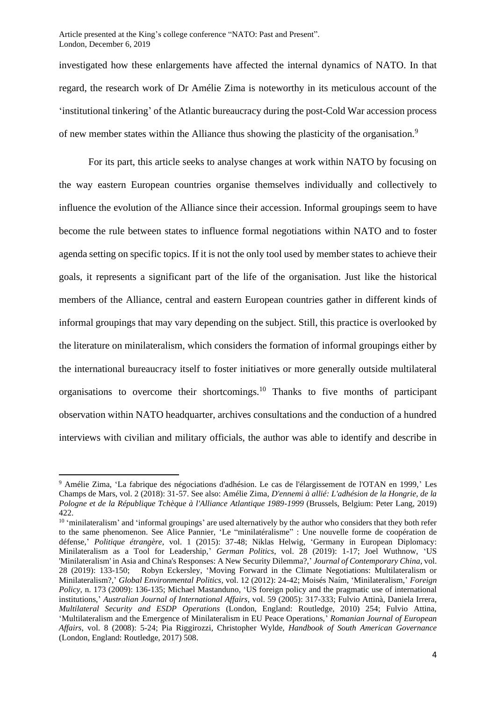investigated how these enlargements have affected the internal dynamics of NATO. In that regard, the research work of Dr Amélie Zima is noteworthy in its meticulous account of the 'institutional tinkering' of the Atlantic bureaucracy during the post-Cold War accession process of new member states within the Alliance thus showing the plasticity of the organisation.<sup>9</sup>

For its part, this article seeks to analyse changes at work within NATO by focusing on the way eastern European countries organise themselves individually and collectively to influence the evolution of the Alliance since their accession. Informal groupings seem to have become the rule between states to influence formal negotiations within NATO and to foster agenda setting on specific topics. If it is not the only tool used by member states to achieve their goals, it represents a significant part of the life of the organisation. Just like the historical members of the Alliance, central and eastern European countries gather in different kinds of informal groupings that may vary depending on the subject. Still, this practice is overlooked by the literature on minilateralism, which considers the formation of informal groupings either by the international bureaucracy itself to foster initiatives or more generally outside multilateral organisations to overcome their shortcomings.<sup>10</sup> Thanks to five months of participant observation within NATO headquarter, archives consultations and the conduction of a hundred interviews with civilian and military officials, the author was able to identify and describe in

<sup>9</sup> Amélie Zima, 'La fabrique des négociations d'adhésion. Le cas de l'élargissement de l'OTAN en 1999,' Les Champs de Mars, vol. 2 (2018): 31-57. See also: Amélie Zima, *D'ennemi à allié: L'adhésion de la Hongrie, de la Pologne et de la République Tchèque à l'Alliance Atlantique 1989-1999* (Brussels, Belgium: Peter Lang, 2019) 422.

<sup>&</sup>lt;sup>10</sup> 'minilateralism' and 'informal groupings' are used alternatively by the author who considers that they both refer to the same phenomenon. See Alice Pannier, 'Le "minilatéralisme" : Une nouvelle forme de coopération de défense,' *Politique étrangère*, vol. 1 (2015): 37-48; Niklas Helwig, 'Germany in European Diplomacy: Minilateralism as a Tool for Leadership,' *German Politics*, vol. 28 (2019): 1-17; Joel Wuthnow, 'US 'Minilateralism' in Asia and China's Responses: A New Security Dilemma?,' *Journal of Contemporary China*, vol. 28 (2019): 133-150; Robyn Eckersley, 'Moving Forward in the Climate Negotiations: Multilateralism or Minilateralism?,' *Global Environmental Politics*, vol. 12 (2012): 24-42; Moisés Naím, 'Minilateralism,' *Foreign Policy*, n. 173 (2009): 136-135; Michael Mastanduno, 'US foreign policy and the pragmatic use of international institutions,' *Australian Journal of International Affairs*, vol. 59 (2005): 317-333; Fulvio Attinà, Daniela Irrera, *Multilateral Security and ESDP Operations* (London, England: Routledge, 2010) 254; Fulvio Attina, 'Multilateralism and the Emergence of Minilateralism in EU Peace Operations,' *Romanian Journal of European Affairs*, vol. 8 (2008): 5-24; Pia Riggirozzi, Christopher Wylde, *Handbook of South American Governance* (London, England: Routledge, 2017) 508.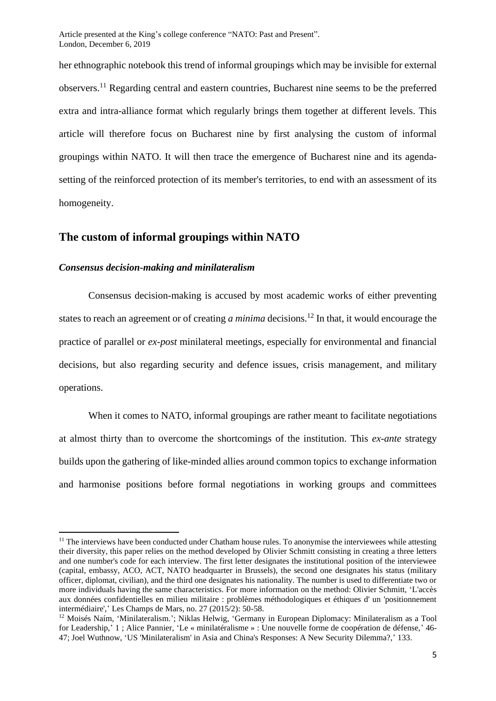her ethnographic notebook this trend of informal groupings which may be invisible for external observers.<sup>11</sup> Regarding central and eastern countries, Bucharest nine seems to be the preferred extra and intra-alliance format which regularly brings them together at different levels. This article will therefore focus on Bucharest nine by first analysing the custom of informal groupings within NATO. It will then trace the emergence of Bucharest nine and its agendasetting of the reinforced protection of its member's territories, to end with an assessment of its homogeneity.

### **The custom of informal groupings within NATO**

#### *Consensus decision-making and minilateralism*

Consensus decision-making is accused by most academic works of either preventing states to reach an agreement or of creating *a minima* decisions.<sup>12</sup> In that, it would encourage the practice of parallel or *ex-post* minilateral meetings, especially for environmental and financial decisions, but also regarding security and defence issues, crisis management, and military operations.

When it comes to NATO, informal groupings are rather meant to facilitate negotiations at almost thirty than to overcome the shortcomings of the institution. This *ex-ante* strategy builds upon the gathering of like-minded allies around common topics to exchange information and harmonise positions before formal negotiations in working groups and committees

 $11$  The interviews have been conducted under Chatham house rules. To anonymise the interviewees while attesting their diversity, this paper relies on the method developed by Olivier Schmitt consisting in creating a three letters and one number's code for each interview. The first letter designates the institutional position of the interviewee (capital, embassy, ACO, ACT, NATO headquarter in Brussels), the second one designates his status (military officer, diplomat, civilian), and the third one designates his nationality. The number is used to differentiate two or more individuals having the same characteristics. For more information on the method: Olivier Schmitt, 'L'accès aux données confidentielles en milieu militaire : problèmes méthodologiques et éthiques d' un 'positionnement intermédiaire',' Les Champs de Mars, no. 27 (2015/2): 50-58.

<sup>12</sup> Moisés Naím, 'Minilateralism.'; Niklas Helwig, 'Germany in European Diplomacy: Minilateralism as a Tool for Leadership,' 1 ; Alice Pannier, 'Le « minilatéralisme » : Une nouvelle forme de coopération de défense,' 46- 47; Joel Wuthnow, 'US 'Minilateralism' in Asia and China's Responses: A New Security Dilemma?,' 133.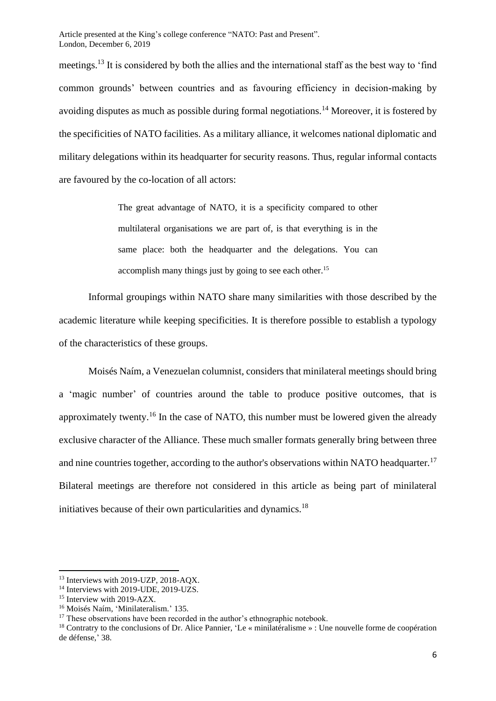meetings.<sup>13</sup> It is considered by both the allies and the international staff as the best way to 'find common grounds' between countries and as favouring efficiency in decision-making by avoiding disputes as much as possible during formal negotiations.<sup>14</sup> Moreover, it is fostered by the specificities of NATO facilities. As a military alliance, it welcomes national diplomatic and military delegations within its headquarter for security reasons. Thus, regular informal contacts are favoured by the co-location of all actors:

> The great advantage of NATO, it is a specificity compared to other multilateral organisations we are part of, is that everything is in the same place: both the headquarter and the delegations. You can accomplish many things just by going to see each other.<sup>15</sup>

Informal groupings within NATO share many similarities with those described by the academic literature while keeping specificities. It is therefore possible to establish a typology of the characteristics of these groups.

Moisés Naím, a Venezuelan columnist, considers that minilateral meetings should bring a 'magic number' of countries around the table to produce positive outcomes, that is approximately twenty.<sup>16</sup> In the case of NATO, this number must be lowered given the already exclusive character of the Alliance. These much smaller formats generally bring between three and nine countries together, according to the author's observations within NATO headquarter.<sup>17</sup> Bilateral meetings are therefore not considered in this article as being part of minilateral initiatives because of their own particularities and dynamics.<sup>18</sup>

<sup>&</sup>lt;sup>13</sup> Interviews with 2019-UZP, 2018-AQX.

<sup>&</sup>lt;sup>14</sup> Interviews with 2019-UDE, 2019-UZS.

<sup>&</sup>lt;sup>15</sup> Interview with 2019-AZX.

<sup>16</sup> Moisés Naím, 'Minilateralism.' 135.

<sup>&</sup>lt;sup>17</sup> These observations have been recorded in the author's ethnographic notebook.

<sup>18</sup> Contratry to the conclusions of Dr. Alice Pannier, 'Le « minilatéralisme » : Une nouvelle forme de coopération de défense,' 38.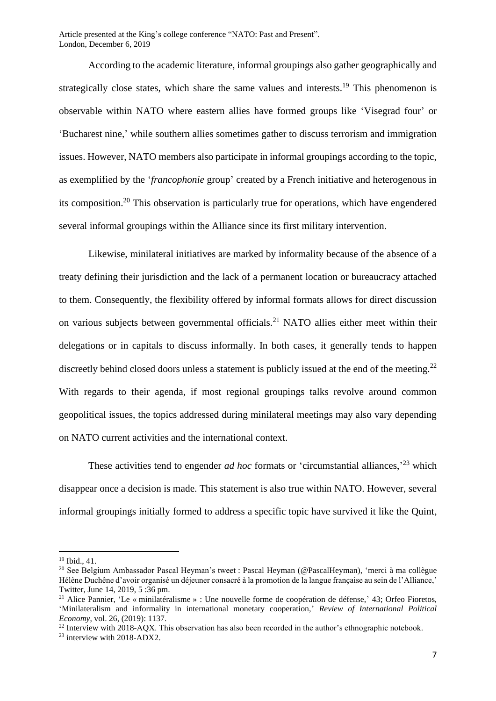According to the academic literature, informal groupings also gather geographically and strategically close states, which share the same values and interests.<sup>19</sup> This phenomenon is observable within NATO where eastern allies have formed groups like 'Visegrad four' or 'Bucharest nine,' while southern allies sometimes gather to discuss terrorism and immigration issues. However, NATO members also participate in informal groupings according to the topic, as exemplified by the '*francophonie* group' created by a French initiative and heterogenous in its composition.<sup>20</sup> This observation is particularly true for operations, which have engendered several informal groupings within the Alliance since its first military intervention.

Likewise, minilateral initiatives are marked by informality because of the absence of a treaty defining their jurisdiction and the lack of a permanent location or bureaucracy attached to them. Consequently, the flexibility offered by informal formats allows for direct discussion on various subjects between governmental officials.<sup>21</sup> NATO allies either meet within their delegations or in capitals to discuss informally. In both cases, it generally tends to happen discreetly behind closed doors unless a statement is publicly issued at the end of the meeting.<sup>22</sup> With regards to their agenda, if most regional groupings talks revolve around common geopolitical issues, the topics addressed during minilateral meetings may also vary depending on NATO current activities and the international context.

These activities tend to engender *ad hoc* formats or 'circumstantial alliances,<sup>23</sup> which disappear once a decision is made. This statement is also true within NATO. However, several informal groupings initially formed to address a specific topic have survived it like the Quint,

 $^{22}$  Interview with 2018-AOX. This observation has also been recorded in the author's ethnographic notebook.

<sup>19</sup> Ibid., 41.

<sup>20</sup> See Belgium Ambassador Pascal Heyman's tweet : Pascal Heyman (@PascalHeyman), 'merci à ma collègue Hélène Duchêne d'avoir organisé un déjeuner consacré à la promotion de la langue française au sein de l'Alliance,' Twitter, June 14, 2019, 5 :36 pm.

<sup>&</sup>lt;sup>21</sup> Alice Pannier, 'Le « minilatéralisme » : Une nouvelle forme de coopération de défense,' 43; Orfeo Fioretos, 'Minilateralism and informality in international monetary cooperation,' *Review of International Political Economy*, vol. 26, (2019): 1137.

<sup>23</sup> interview with 2018-ADX2.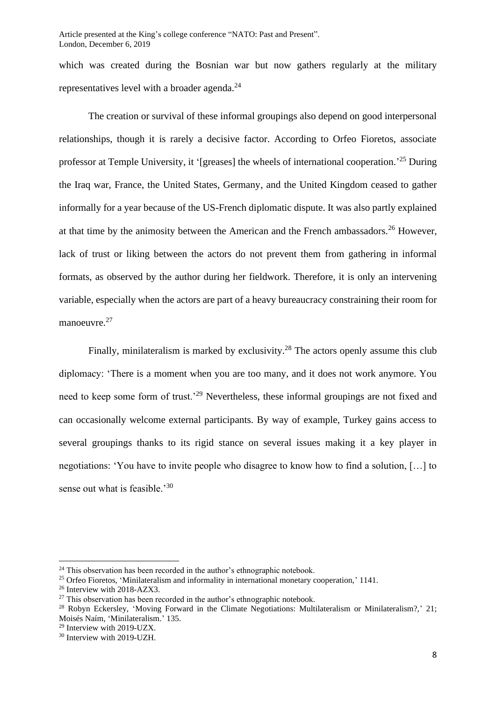which was created during the Bosnian war but now gathers regularly at the military representatives level with a broader agenda.<sup>24</sup>

The creation or survival of these informal groupings also depend on good interpersonal relationships, though it is rarely a decisive factor. According to Orfeo Fioretos, associate professor at Temple University, it '[greases] the wheels of international cooperation.<sup>25</sup> During the Iraq war, France, the United States, Germany, and the United Kingdom ceased to gather informally for a year because of the US-French diplomatic dispute. It was also partly explained at that time by the animosity between the American and the French ambassadors.<sup>26</sup> However, lack of trust or liking between the actors do not prevent them from gathering in informal formats, as observed by the author during her fieldwork. Therefore, it is only an intervening variable, especially when the actors are part of a heavy bureaucracy constraining their room for manoeuvre.<sup>27</sup>

Finally, minilateralism is marked by exclusivity.<sup>28</sup> The actors openly assume this club diplomacy: 'There is a moment when you are too many, and it does not work anymore. You need to keep some form of trust.<sup>29</sup> Nevertheless, these informal groupings are not fixed and can occasionally welcome external participants. By way of example, Turkey gains access to several groupings thanks to its rigid stance on several issues making it a key player in negotiations: 'You have to invite people who disagree to know how to find a solution, […] to sense out what is feasible.<sup>'30</sup>

<sup>&</sup>lt;sup>24</sup> This observation has been recorded in the author's ethnographic notebook.

<sup>&</sup>lt;sup>25</sup> Orfeo Fioretos, 'Minilateralism and informality in international monetary cooperation,' 1141.

<sup>26</sup> Interview with 2018-AZX3.

 $27$  This observation has been recorded in the author's ethnographic notebook.

<sup>28</sup> Robyn Eckersley, 'Moving Forward in the Climate Negotiations: Multilateralism or Minilateralism?,' 21; Moisés Naím, 'Minilateralism.' 135.

<sup>29</sup> Interview with 2019-UZX.

<sup>30</sup> Interview with 2019-UZH.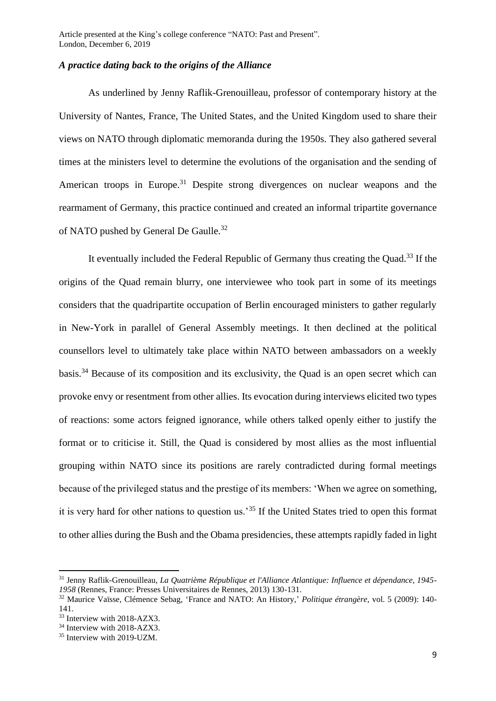#### *A practice dating back to the origins of the Alliance*

As underlined by Jenny Raflik-Grenouilleau, professor of contemporary history at the University of Nantes, France, The United States, and the United Kingdom used to share their views on NATO through diplomatic memoranda during the 1950s. They also gathered several times at the ministers level to determine the evolutions of the organisation and the sending of American troops in Europe.<sup>31</sup> Despite strong divergences on nuclear weapons and the rearmament of Germany, this practice continued and created an informal tripartite governance of NATO pushed by General De Gaulle.<sup>32</sup>

It eventually included the Federal Republic of Germany thus creating the Quad.<sup>33</sup> If the origins of the Quad remain blurry, one interviewee who took part in some of its meetings considers that the quadripartite occupation of Berlin encouraged ministers to gather regularly in New-York in parallel of General Assembly meetings. It then declined at the political counsellors level to ultimately take place within NATO between ambassadors on a weekly basis.<sup>34</sup> Because of its composition and its exclusivity, the Quad is an open secret which can provoke envy or resentment from other allies. Its evocation during interviews elicited two types of reactions: some actors feigned ignorance, while others talked openly either to justify the format or to criticise it. Still, the Quad is considered by most allies as the most influential grouping within NATO since its positions are rarely contradicted during formal meetings because of the privileged status and the prestige of its members: 'When we agree on something, it is very hard for other nations to question us.'<sup>35</sup> If the United States tried to open this format to other allies during the Bush and the Obama presidencies, these attempts rapidly faded in light

<sup>31</sup> Jenny Raflik-Grenouilleau, *La Quatrième République et l'Alliance Atlantique: Influence et dépendance, 1945- 1958* (Rennes, France: Presses Universitaires de Rennes, 2013) 130-131.

<sup>32</sup> Maurice Vaïsse, Clémence Sebag, 'France and NATO: An History,' *Politique étrangère*, vol. 5 (2009): 140- 141.

<sup>33</sup> Interview with 2018-AZX3.

<sup>&</sup>lt;sup>34</sup> Interview with 2018-AZX3.

<sup>35</sup> Interview with 2019-UZM.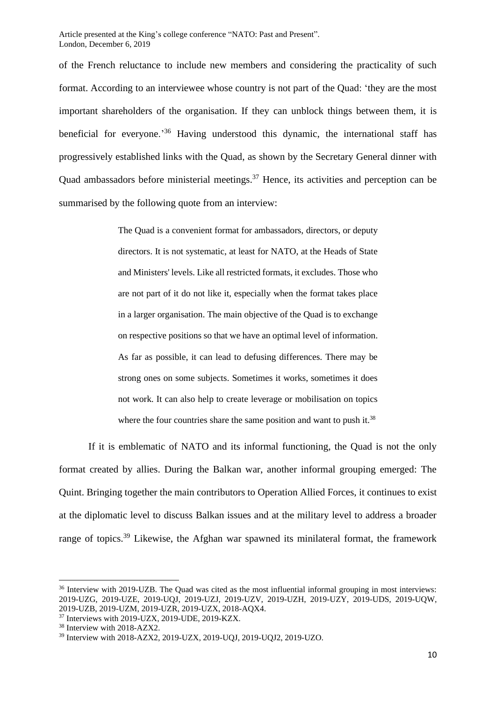of the French reluctance to include new members and considering the practicality of such format. According to an interviewee whose country is not part of the Quad: 'they are the most important shareholders of the organisation. If they can unblock things between them, it is beneficial for everyone.<sup>36</sup> Having understood this dynamic, the international staff has progressively established links with the Quad, as shown by the Secretary General dinner with Quad ambassadors before ministerial meetings.<sup>37</sup> Hence, its activities and perception can be summarised by the following quote from an interview:

> The Quad is a convenient format for ambassadors, directors, or deputy directors. It is not systematic, at least for NATO, at the Heads of State and Ministers' levels. Like all restricted formats, it excludes. Those who are not part of it do not like it, especially when the format takes place in a larger organisation. The main objective of the Quad is to exchange on respective positions so that we have an optimal level of information. As far as possible, it can lead to defusing differences. There may be strong ones on some subjects. Sometimes it works, sometimes it does not work. It can also help to create leverage or mobilisation on topics where the four countries share the same position and want to push it.<sup>38</sup>

If it is emblematic of NATO and its informal functioning, the Quad is not the only format created by allies. During the Balkan war, another informal grouping emerged: The Quint. Bringing together the main contributors to Operation Allied Forces, it continues to exist at the diplomatic level to discuss Balkan issues and at the military level to address a broader range of topics.<sup>39</sup> Likewise, the Afghan war spawned its minilateral format, the framework

<sup>&</sup>lt;sup>36</sup> Interview with 2019-UZB. The Quad was cited as the most influential informal grouping in most interviews: 2019-UZG, 2019-UZE, 2019-UQJ, 2019-UZJ, 2019-UZV, 2019-UZH, 2019-UZY, 2019-UDS, 2019-UQW, 2019-UZB, 2019-UZM, 2019-UZR, 2019-UZX, 2018-AQX4.

<sup>37</sup> Interviews with 2019-UZX, 2019-UDE, 2019-KZX.

<sup>38</sup> Interview with 2018-AZX2.

<sup>39</sup> Interview with 2018-AZX2, 2019-UZX, 2019-UQJ, 2019-UQJ2, 2019-UZO.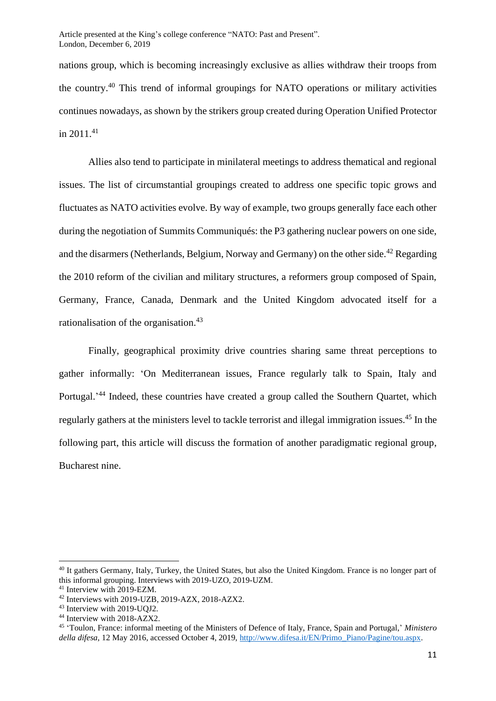nations group, which is becoming increasingly exclusive as allies withdraw their troops from the country.<sup>40</sup> This trend of informal groupings for NATO operations or military activities continues nowadays, as shown by the strikers group created during Operation Unified Protector in  $2011^{41}$ 

Allies also tend to participate in minilateral meetings to address thematical and regional issues. The list of circumstantial groupings created to address one specific topic grows and fluctuates as NATO activities evolve. By way of example, two groups generally face each other during the negotiation of Summits Communiqués: the P3 gathering nuclear powers on one side, and the disarmers (Netherlands, Belgium, Norway and Germany) on the other side.<sup>42</sup> Regarding the 2010 reform of the civilian and military structures, a reformers group composed of Spain, Germany, France, Canada, Denmark and the United Kingdom advocated itself for a rationalisation of the organisation.<sup>43</sup>

Finally, geographical proximity drive countries sharing same threat perceptions to gather informally: 'On Mediterranean issues, France regularly talk to Spain, Italy and Portugal.<sup>44</sup> Indeed, these countries have created a group called the Southern Quartet, which regularly gathers at the ministers level to tackle terrorist and illegal immigration issues.<sup>45</sup> In the following part, this article will discuss the formation of another paradigmatic regional group, Bucharest nine.

<sup>&</sup>lt;sup>40</sup> It gathers Germany, Italy, Turkey, the United States, but also the United Kingdom. France is no longer part of this informal grouping. Interviews with 2019-UZO, 2019-UZM.

<sup>41</sup> Interview with 2019-EZM.

<sup>42</sup> Interviews with 2019-UZB, 2019-AZX, 2018-AZX2.

<sup>43</sup> Interview with 2019-UQJ2.

<sup>44</sup> Interview with 2018-AZX2.

<sup>45</sup> 'Toulon, France: informal meeting of the Ministers of Defence of Italy, France, Spain and Portugal,' *Ministero della difesa,* 12 May 2016, accessed October 4, 2019[, http://www.difesa.it/EN/Primo\\_Piano/Pagine/tou.aspx.](http://www.difesa.it/EN/Primo_Piano/Pagine/tou.aspx)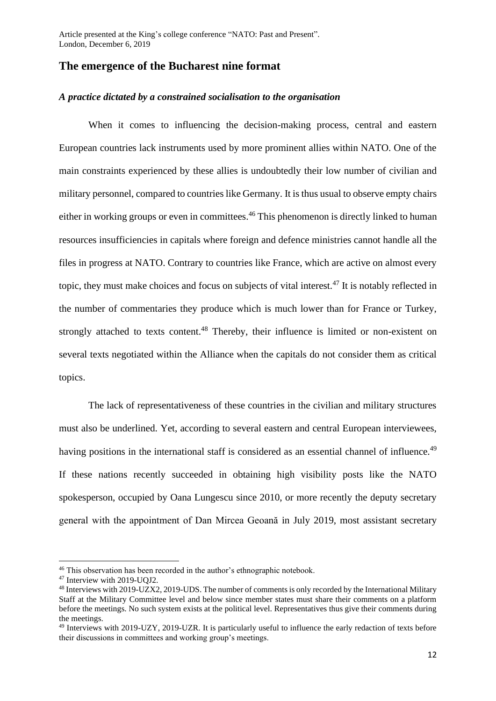### **The emergence of the Bucharest nine format**

#### *A practice dictated by a constrained socialisation to the organisation*

When it comes to influencing the decision-making process, central and eastern European countries lack instruments used by more prominent allies within NATO. One of the main constraints experienced by these allies is undoubtedly their low number of civilian and military personnel, compared to countries like Germany. It is thus usual to observe empty chairs either in working groups or even in committees.<sup>46</sup> This phenomenon is directly linked to human resources insufficiencies in capitals where foreign and defence ministries cannot handle all the files in progress at NATO. Contrary to countries like France, which are active on almost every topic, they must make choices and focus on subjects of vital interest.<sup>47</sup> It is notably reflected in the number of commentaries they produce which is much lower than for France or Turkey, strongly attached to texts content.<sup>48</sup> Thereby, their influence is limited or non-existent on several texts negotiated within the Alliance when the capitals do not consider them as critical topics.

The lack of representativeness of these countries in the civilian and military structures must also be underlined. Yet, according to several eastern and central European interviewees, having positions in the international staff is considered as an essential channel of influence.<sup>49</sup> If these nations recently succeeded in obtaining high visibility posts like the NATO spokesperson, occupied by Oana Lungescu since 2010, or more recently the deputy secretary general with the appointment of Dan Mircea Geoană in July 2019, most assistant secretary

<sup>&</sup>lt;sup>46</sup> This observation has been recorded in the author's ethnographic notebook.

<sup>47</sup> Interview with 2019-UQJ2.

<sup>48</sup> Interviews with 2019-UZX2, 2019-UDS. The number of comments is only recorded by the International Military Staff at the Military Committee level and below since member states must share their comments on a platform before the meetings. No such system exists at the political level. Representatives thus give their comments during the meetings.

<sup>49</sup> Interviews with 2019-UZY, 2019-UZR. It is particularly useful to influence the early redaction of texts before their discussions in committees and working group's meetings.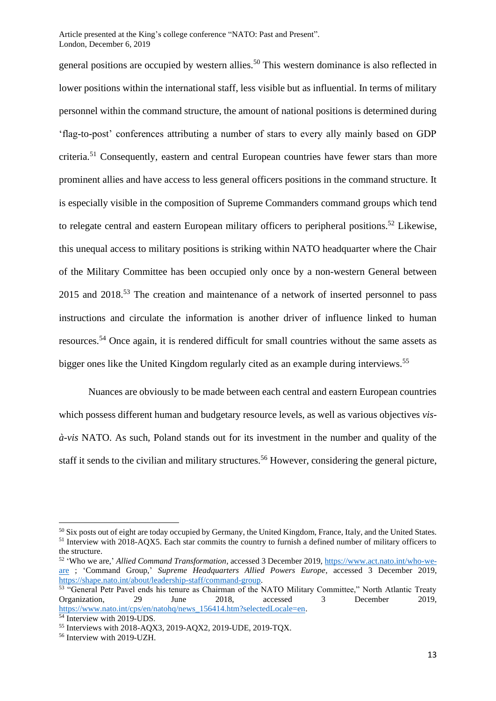general positions are occupied by western allies.<sup>50</sup> This western dominance is also reflected in lower positions within the international staff, less visible but as influential. In terms of military personnel within the command structure, the amount of national positions is determined during 'flag-to-post' conferences attributing a number of stars to every ally mainly based on GDP criteria.<sup>51</sup> Consequently, eastern and central European countries have fewer stars than more prominent allies and have access to less general officers positions in the command structure. It is especially visible in the composition of Supreme Commanders command groups which tend to relegate central and eastern European military officers to peripheral positions.<sup>52</sup> Likewise, this unequal access to military positions is striking within NATO headquarter where the Chair of the Military Committee has been occupied only once by a non-western General between 2015 and 2018.<sup>53</sup> The creation and maintenance of a network of inserted personnel to pass instructions and circulate the information is another driver of influence linked to human resources.<sup>54</sup> Once again, it is rendered difficult for small countries without the same assets as bigger ones like the United Kingdom regularly cited as an example during interviews.<sup>55</sup>

Nuances are obviously to be made between each central and eastern European countries which possess different human and budgetary resource levels, as well as various objectives *visà-vis* NATO. As such, Poland stands out for its investment in the number and quality of the staff it sends to the civilian and military structures.<sup>56</sup> However, considering the general picture,

<sup>&</sup>lt;sup>50</sup> Six posts out of eight are today occupied by Germany, the United Kingdom, France, Italy, and the United States. <sup>51</sup> Interview with 2018-AQX5. Each star commits the country to furnish a defined number of military officers to the structure.

<sup>52</sup> 'Who we are,' *Allied Command Transformation*, accessed 3 December 2019, [https://www.act.nato.int/who-we](https://www.act.nato.int/who-we-are)[are](https://www.act.nato.int/who-we-are) ; 'Command Group,' *Supreme Headquarters Allied Powers Europe*, accessed 3 December 2019, [https://shape.nato.int/about/leadership-staff/command-group.](https://shape.nato.int/about/leadership-staff/command-group)

<sup>&</sup>lt;sup>53</sup> "General Petr Pavel ends his tenure as Chairman of the NATO Military Committee," North Atlantic Treaty Organization, 29 June 2018, accessed 3 December 2019, [https://www.nato.int/cps/en/natohq/news\\_156414.htm?selectedLocale=en.](https://www.nato.int/cps/en/natohq/news_156414.htm?selectedLocale=en)

<sup>&</sup>lt;sup>54</sup> Interview with 2019-UDS.

<sup>55</sup> Interviews with 2018-AQX3, 2019-AQX2, 2019-UDE, 2019-TQX.

<sup>56</sup> Interview with 2019-UZH.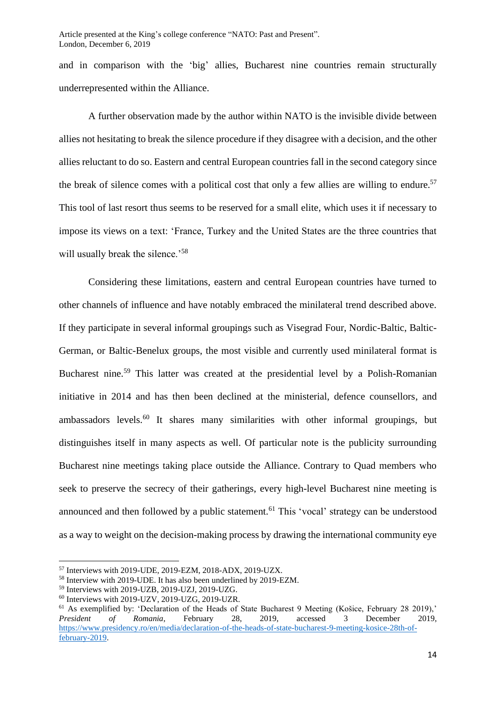and in comparison with the 'big' allies, Bucharest nine countries remain structurally underrepresented within the Alliance.

A further observation made by the author within NATO is the invisible divide between allies not hesitating to break the silence procedure if they disagree with a decision, and the other allies reluctant to do so. Eastern and central European countries fall in the second category since the break of silence comes with a political cost that only a few allies are willing to endure.<sup>57</sup> This tool of last resort thus seems to be reserved for a small elite, which uses it if necessary to impose its views on a text: 'France, Turkey and the United States are the three countries that will usually break the silence.<sup>58</sup>

Considering these limitations, eastern and central European countries have turned to other channels of influence and have notably embraced the minilateral trend described above. If they participate in several informal groupings such as Visegrad Four, Nordic-Baltic, Baltic-German, or Baltic-Benelux groups, the most visible and currently used minilateral format is Bucharest nine.<sup>59</sup> This latter was created at the presidential level by a Polish-Romanian initiative in 2014 and has then been declined at the ministerial, defence counsellors, and ambassadors levels.<sup>60</sup> It shares many similarities with other informal groupings, but distinguishes itself in many aspects as well. Of particular note is the publicity surrounding Bucharest nine meetings taking place outside the Alliance. Contrary to Quad members who seek to preserve the secrecy of their gatherings, every high-level Bucharest nine meeting is announced and then followed by a public statement.<sup>61</sup> This 'vocal' strategy can be understood as a way to weight on the decision-making process by drawing the international community eye

<sup>57</sup> Interviews with 2019-UDE, 2019-EZM, 2018-ADX, 2019-UZX.

<sup>58</sup> Interview with 2019-UDE. It has also been underlined by 2019-EZM.

<sup>59</sup> Interviews with 2019-UZB, 2019-UZJ, 2019-UZG.

<sup>60</sup> Interviews with 2019-UZV, 2019-UZG, 2019-UZR.

<sup>&</sup>lt;sup>61</sup> As exemplified by: 'Declaration of the Heads of State Bucharest 9 Meeting (Košice, February 28 2019),' *President of Romania*, February 28, 2019, accessed 3 December 2019, [https://www.presidency.ro/en/media/declaration-of-the-heads-of-state-bucharest-9-meeting-kosice-28th-of](https://www.presidency.ro/en/media/declaration-of-the-heads-of-state-bucharest-9-meeting-kosice-28th-of-february-2019)[february-2019.](https://www.presidency.ro/en/media/declaration-of-the-heads-of-state-bucharest-9-meeting-kosice-28th-of-february-2019)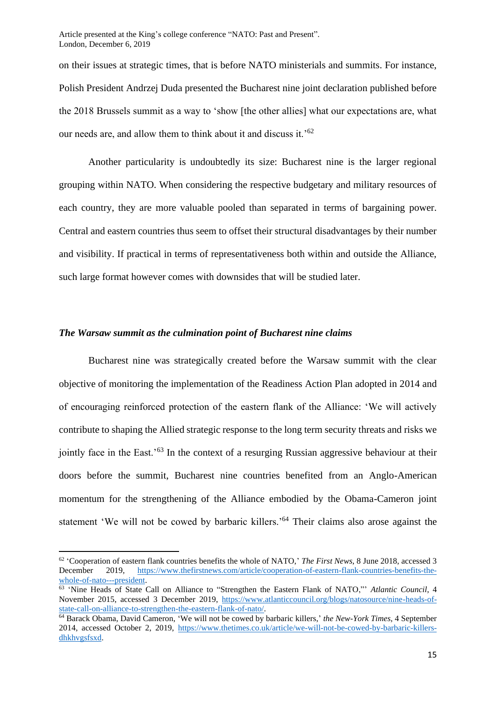on their issues at strategic times, that is before NATO ministerials and summits. For instance, Polish President Andrzej Duda presented the Bucharest nine joint declaration published before the 2018 Brussels summit as a way to 'show [the other allies] what our expectations are, what our needs are, and allow them to think about it and discuss it.'<sup>62</sup>

Another particularity is undoubtedly its size: Bucharest nine is the larger regional grouping within NATO. When considering the respective budgetary and military resources of each country, they are more valuable pooled than separated in terms of bargaining power. Central and eastern countries thus seem to offset their structural disadvantages by their number and visibility. If practical in terms of representativeness both within and outside the Alliance, such large format however comes with downsides that will be studied later.

#### *The Warsaw summit as the culmination point of Bucharest nine claims*

Bucharest nine was strategically created before the Warsaw summit with the clear objective of monitoring the implementation of the Readiness Action Plan adopted in 2014 and of encouraging reinforced protection of the eastern flank of the Alliance: 'We will actively contribute to shaping the Allied strategic response to the long term security threats and risks we jointly face in the East.<sup>563</sup> In the context of a resurging Russian aggressive behaviour at their doors before the summit, Bucharest nine countries benefited from an Anglo-American momentum for the strengthening of the Alliance embodied by the Obama-Cameron joint statement 'We will not be cowed by barbaric killers.'<sup>64</sup> Their claims also arose against the

<sup>62</sup> 'Cooperation of eastern flank countries benefits the whole of NATO,' *The First News*, 8 June 2018, accessed 3 December 2019, [https://www.thefirstnews.com/article/cooperation-of-eastern-flank-countries-benefits-the](https://www.thefirstnews.com/article/cooperation-of-eastern-flank-countries-benefits-the-whole-of-nato---president)[whole-of-nato---president.](https://www.thefirstnews.com/article/cooperation-of-eastern-flank-countries-benefits-the-whole-of-nato---president)

<sup>63</sup> 'Nine Heads of State Call on Alliance to "Strengthen the Eastern Flank of NATO,"' *Atlantic Council*, 4 November 2015, accessed 3 December 2019, [https://www.atlanticcouncil.org/blogs/natosource/nine-heads-of](https://www.atlanticcouncil.org/blogs/natosource/nine-heads-of-state-call-on-alliance-to-strengthen-the-eastern-flank-of-nato/)[state-call-on-alliance-to-strengthen-the-eastern-flank-of-nato/.](https://www.atlanticcouncil.org/blogs/natosource/nine-heads-of-state-call-on-alliance-to-strengthen-the-eastern-flank-of-nato/)

<sup>&</sup>lt;sup>64</sup> Barack Obama, David Cameron, 'We will not be cowed by barbaric killers,' the New-York Times, 4 September 2014, accessed October 2, 2019, [https://www.thetimes.co.uk/article/we-will-not-be-cowed-by-barbaric-killers](https://www.thetimes.co.uk/article/we-will-not-be-cowed-by-barbaric-killers-dhkhvgsfsxd)[dhkhvgsfsxd.](https://www.thetimes.co.uk/article/we-will-not-be-cowed-by-barbaric-killers-dhkhvgsfsxd)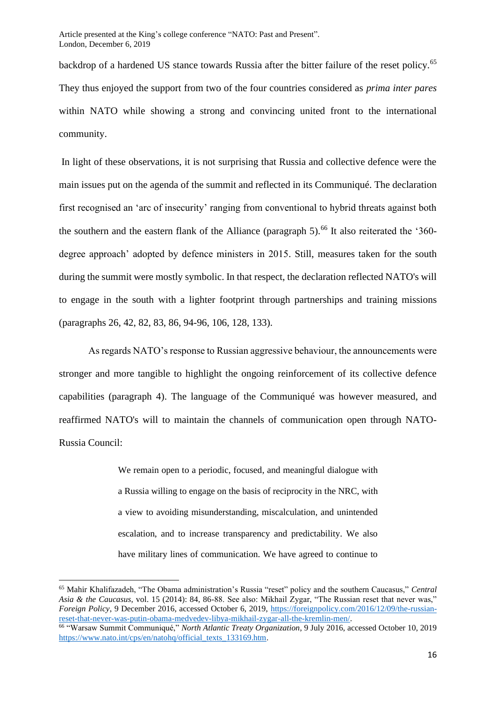backdrop of a hardened US stance towards Russia after the bitter failure of the reset policy.<sup>65</sup> They thus enjoyed the support from two of the four countries considered as *prima inter pares* within NATO while showing a strong and convincing united front to the international community.

In light of these observations, it is not surprising that Russia and collective defence were the main issues put on the agenda of the summit and reflected in its Communiqué. The declaration first recognised an 'arc of insecurity' ranging from conventional to hybrid threats against both the southern and the eastern flank of the Alliance (paragraph  $5$ ).<sup>66</sup> It also reiterated the '360degree approach' adopted by defence ministers in 2015. Still, measures taken for the south during the summit were mostly symbolic. In that respect, the declaration reflected NATO's will to engage in the south with a lighter footprint through partnerships and training missions (paragraphs 26, 42, 82, 83, 86, 94-96, 106, 128, 133).

As regards NATO's response to Russian aggressive behaviour, the announcements were stronger and more tangible to highlight the ongoing reinforcement of its collective defence capabilities (paragraph 4). The language of the Communiqué was however measured, and reaffirmed NATO's will to maintain the channels of communication open through NATO-Russia Council:

> We remain open to a periodic, focused, and meaningful dialogue with a Russia willing to engage on the basis of reciprocity in the NRC, with a view to avoiding misunderstanding, miscalculation, and unintended escalation, and to increase transparency and predictability. We also have military lines of communication. We have agreed to continue to

<sup>65</sup> Mahir Khalifazadeh, "The Obama administration's Russia "reset" policy and the southern Caucasus," *Central Asia & the Caucasus*, vol. 15 (2014): 84, 86-88. See also: Mikhail Zygar, "The Russian reset that never was," *Foreign Policy*, 9 December 2016, accessed October 6, 2019, [https://foreignpolicy.com/2016/12/09/the-russian](https://foreignpolicy.com/2016/12/09/the-russian-reset-that-never-was-putin-obama-medvedev-libya-mikhail-zygar-all-the-kremlin-men/)[reset-that-never-was-putin-obama-medvedev-libya-mikhail-zygar-all-the-kremlin-men/.](https://foreignpolicy.com/2016/12/09/the-russian-reset-that-never-was-putin-obama-medvedev-libya-mikhail-zygar-all-the-kremlin-men/)

<sup>66</sup> "Warsaw Summit Communiqué," *North Atlantic Treaty Organization*, 9 July 2016, accessed October 10, 2019 [https://www.nato.int/cps/en/natohq/official\\_texts\\_133169.htm.](https://www.nato.int/cps/en/natohq/official_texts_133169.htm)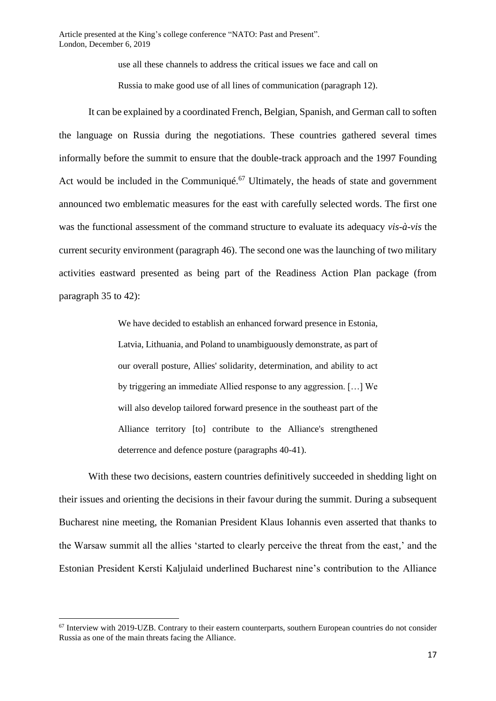use all these channels to address the critical issues we face and call on

Russia to make good use of all lines of communication (paragraph 12).

It can be explained by a coordinated French, Belgian, Spanish, and German call to soften the language on Russia during the negotiations. These countries gathered several times informally before the summit to ensure that the double-track approach and the 1997 Founding Act would be included in the Communiqué.<sup>67</sup> Ultimately, the heads of state and government announced two emblematic measures for the east with carefully selected words. The first one was the functional assessment of the command structure to evaluate its adequacy *vis-à-vis* the current security environment (paragraph 46). The second one was the launching of two military activities eastward presented as being part of the Readiness Action Plan package (from paragraph 35 to 42):

> We have decided to establish an enhanced forward presence in Estonia, Latvia, Lithuania, and Poland to unambiguously demonstrate, as part of our overall posture, Allies' solidarity, determination, and ability to act by triggering an immediate Allied response to any aggression. […] We will also develop tailored forward presence in the southeast part of the Alliance territory [to] contribute to the Alliance's strengthened deterrence and defence posture (paragraphs 40-41).

With these two decisions, eastern countries definitively succeeded in shedding light on their issues and orienting the decisions in their favour during the summit. During a subsequent Bucharest nine meeting, the Romanian President Klaus Iohannis even asserted that thanks to the Warsaw summit all the allies 'started to clearly perceive the threat from the east,' and the Estonian President Kersti Kaljulaid underlined Bucharest nine's contribution to the Alliance

 $67$  Interview with 2019-UZB. Contrary to their eastern counterparts, southern European countries do not consider Russia as one of the main threats facing the Alliance.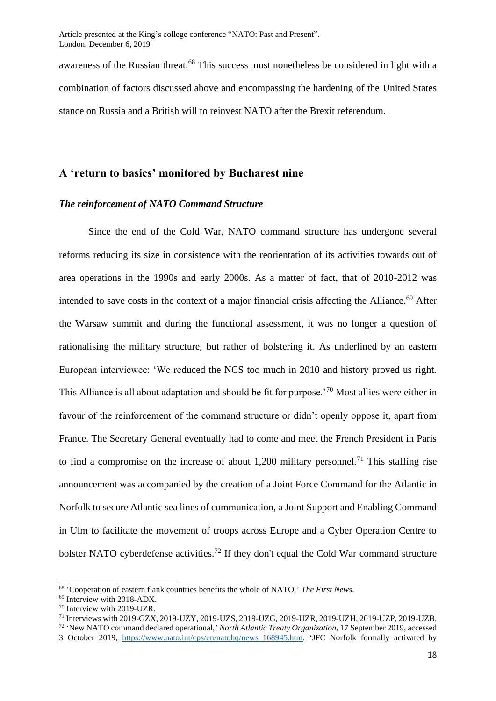awareness of the Russian threat.<sup>68</sup> This success must nonetheless be considered in light with a combination of factors discussed above and encompassing the hardening of the United States stance on Russia and a British will to reinvest NATO after the Brexit referendum.

### **A 'return to basics' monitored by Bucharest nine**

#### *The reinforcement of NATO Command Structure*

Since the end of the Cold War, NATO command structure has undergone several reforms reducing its size in consistence with the reorientation of its activities towards out of area operations in the 1990s and early 2000s. As a matter of fact, that of 2010-2012 was intended to save costs in the context of a major financial crisis affecting the Alliance.<sup>69</sup> After the Warsaw summit and during the functional assessment, it was no longer a question of rationalising the military structure, but rather of bolstering it. As underlined by an eastern European interviewee: 'We reduced the NCS too much in 2010 and history proved us right. This Alliance is all about adaptation and should be fit for purpose.'<sup>70</sup> Most allies were either in favour of the reinforcement of the command structure or didn't openly oppose it, apart from France. The Secretary General eventually had to come and meet the French President in Paris to find a compromise on the increase of about 1,200 military personnel.<sup>71</sup> This staffing rise announcement was accompanied by the creation of a Joint Force Command for the Atlantic in Norfolk to secure Atlantic sea lines of communication, a Joint Support and Enabling Command in Ulm to facilitate the movement of troops across Europe and a Cyber Operation Centre to bolster NATO cyberdefense activities.<sup>72</sup> If they don't equal the Cold War command structure

<sup>68</sup> 'Cooperation of eastern flank countries benefits the whole of NATO,' *The First News*.

<sup>69</sup> Interview with 2018-ADX.

<sup>70</sup> Interview with 2019-UZR.

<sup>71</sup> Interviews with 2019-GZX, 2019-UZY, 2019-UZS, 2019-UZG, 2019-UZR, 2019-UZH, 2019-UZP, 2019-UZB.

<sup>72</sup> 'New NATO command declared operational,' *North Atlantic Treaty Organization*, 17 September 2019, accessed

<sup>3</sup> October 2019, [https://www.nato.int/cps/en/natohq/news\\_168945.htm.](https://www.nato.int/cps/en/natohq/news_168945.htm) 'JFC Norfolk formally activated by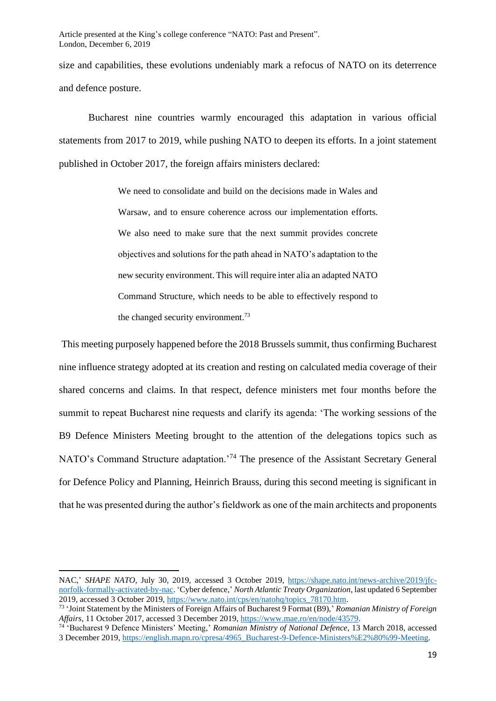size and capabilities, these evolutions undeniably mark a refocus of NATO on its deterrence and defence posture.

Bucharest nine countries warmly encouraged this adaptation in various official statements from 2017 to 2019, while pushing NATO to deepen its efforts. In a joint statement published in October 2017, the foreign affairs ministers declared:

> We need to consolidate and build on the decisions made in Wales and Warsaw, and to ensure coherence across our implementation efforts. We also need to make sure that the next summit provides concrete objectives and solutions for the path ahead in NATO's adaptation to the new security environment. This will require inter alia an adapted NATO Command Structure, which needs to be able to effectively respond to the changed security environment.<sup>73</sup>

This meeting purposely happened before the 2018 Brussels summit, thus confirming Bucharest nine influence strategy adopted at its creation and resting on calculated media coverage of their shared concerns and claims. In that respect, defence ministers met four months before the summit to repeat Bucharest nine requests and clarify its agenda: 'The working sessions of the B9 Defence Ministers Meeting brought to the attention of the delegations topics such as NATO's Command Structure adaptation.<sup>74</sup> The presence of the Assistant Secretary General for Defence Policy and Planning, Heinrich Brauss, during this second meeting is significant in that he was presented during the author's fieldwork as one of the main architects and proponents

NAC,' *SHAPE NATO*, July 30, 2019, accessed 3 October 2019, [https://shape.nato.int/news-archive/2019/jfc](https://shape.nato.int/news-archive/2019/jfc-norfolk-formally-activated-by-nac)[norfolk-formally-activated-by-nac.](https://shape.nato.int/news-archive/2019/jfc-norfolk-formally-activated-by-nac) 'Cyber defence,' *North Atlantic Treaty Organization*, last updated 6 September 2019, accessed 3 October 2019, [https://www.nato.int/cps/en/natohq/topics\\_78170.htm.](https://www.nato.int/cps/en/natohq/topics_78170.htm)

<sup>73</sup> 'Joint Statement by the Ministers of Foreign Affairs of Bucharest 9 Format (B9),' *Romanian Ministry of Foreign Affairs*, 11 October 2017, accessed 3 December 2019, [https://www.mae.ro/en/node/43579.](https://www.mae.ro/en/node/43579)

<sup>74</sup> 'Bucharest 9 Defence Ministers' Meeting,' *Romanian Ministry of National Defence*, 13 March 2018, accessed 3 December 2019, [https://english.mapn.ro/cpresa/4965\\_Bucharest-9-Defence-Ministers%E2%80%99-Meeting.](https://english.mapn.ro/cpresa/4965_Bucharest-9-Defence-Ministers%E2%80%99-Meeting)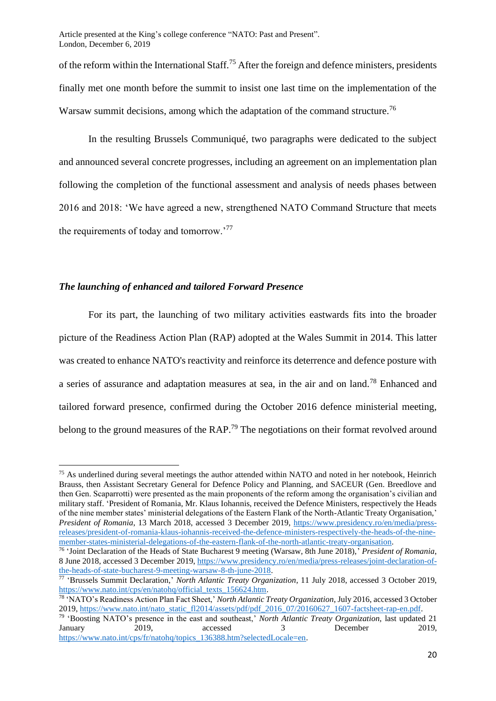of the reform within the International Staff.<sup>75</sup> After the foreign and defence ministers, presidents finally met one month before the summit to insist one last time on the implementation of the Warsaw summit decisions, among which the adaptation of the command structure.<sup>76</sup>

In the resulting Brussels Communiqué, two paragraphs were dedicated to the subject and announced several concrete progresses, including an agreement on an implementation plan following the completion of the functional assessment and analysis of needs phases between 2016 and 2018: 'We have agreed a new, strengthened NATO Command Structure that meets the requirements of today and tomorrow.'<sup>77</sup>

#### *The launching of enhanced and tailored Forward Presence*

For its part, the launching of two military activities eastwards fits into the broader picture of the Readiness Action Plan (RAP) adopted at the Wales Summit in 2014. This latter was created to enhance NATO's reactivity and reinforce its deterrence and defence posture with a series of assurance and adaptation measures at sea, in the air and on land.<sup>78</sup> Enhanced and tailored forward presence, confirmed during the October 2016 defence ministerial meeting, belong to the ground measures of the RAP.<sup>79</sup> The negotiations on their format revolved around

<sup>75</sup> As underlined during several meetings the author attended within NATO and noted in her notebook, Heinrich Brauss, then Assistant Secretary General for Defence Policy and Planning, and SACEUR (Gen. Breedlove and then Gen. Scaparrotti) were presented as the main proponents of the reform among the organisation's civilian and military staff. 'President of Romania, Mr. Klaus Iohannis, received the Defence Ministers, respectively the Heads of the nine member states' ministerial delegations of the Eastern Flank of the North-Atlantic Treaty Organisation,' *President of Romania*, 13 March 2018, accessed 3 December 2019, [https://www.presidency.ro/en/media/press](https://www.presidency.ro/en/media/press-releases/president-of-romania-klaus-iohannis-received-the-defence-ministers-respectively-the-heads-of-the-nine-member-states-ministerial-delegations-of-the-eastern-flank-of-the-north-atlantic-treaty-organisation)[releases/president-of-romania-klaus-iohannis-received-the-defence-ministers-respectively-the-heads-of-the-nine](https://www.presidency.ro/en/media/press-releases/president-of-romania-klaus-iohannis-received-the-defence-ministers-respectively-the-heads-of-the-nine-member-states-ministerial-delegations-of-the-eastern-flank-of-the-north-atlantic-treaty-organisation)[member-states-ministerial-delegations-of-the-eastern-flank-of-the-north-atlantic-treaty-organisation.](https://www.presidency.ro/en/media/press-releases/president-of-romania-klaus-iohannis-received-the-defence-ministers-respectively-the-heads-of-the-nine-member-states-ministerial-delegations-of-the-eastern-flank-of-the-north-atlantic-treaty-organisation)

<sup>76</sup> 'Joint Declaration of the Heads of State Bucharest 9 meeting (Warsaw, 8th June 2018),' *President of Romania*, 8 June 2018, accessed 3 December 2019, [https://www.presidency.ro/en/media/press-releases/joint-declaration-of](https://www.presidency.ro/en/media/press-releases/joint-declaration-of-the-heads-of-state-bucharest-9-meeting-warsaw-8-th-june-2018)[the-heads-of-state-bucharest-9-meeting-warsaw-8-th-june-2018.](https://www.presidency.ro/en/media/press-releases/joint-declaration-of-the-heads-of-state-bucharest-9-meeting-warsaw-8-th-june-2018)

<sup>77</sup> 'Brussels Summit Declaration,' *North Atlantic Treaty Organization*, 11 July 2018, accessed 3 October 2019, [https://www.nato.int/cps/en/natohq/official\\_texts\\_156624.htm.](https://www.nato.int/cps/en/natohq/official_texts_156624.htm)

<sup>78</sup> 'NATO's Readiness Action Plan Fact Sheet,' *North Atlantic Treaty Organization*, July 2016, accessed 3 October 2019, [https://www.nato.int/nato\\_static\\_fl2014/assets/pdf/pdf\\_2016\\_07/20160627\\_1607-factsheet-rap-en.pdf.](https://www.nato.int/nato_static_fl2014/assets/pdf/pdf_2016_07/20160627_1607-factsheet-rap-en.pdf)

<sup>79</sup> 'Boosting NATO's presence in the east and southeast,' *North Atlantic Treaty Organization,* last updated 21 January 2019, accessed 3 December 2019, [https://www.nato.int/cps/fr/natohq/topics\\_136388.htm?selectedLocale=en.](https://www.nato.int/cps/fr/natohq/topics_136388.htm?selectedLocale=en)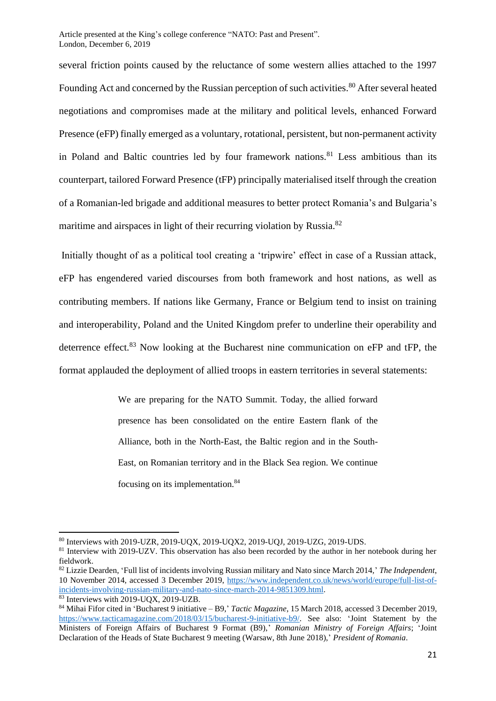several friction points caused by the reluctance of some western allies attached to the 1997 Founding Act and concerned by the Russian perception of such activities.<sup>80</sup> After several heated negotiations and compromises made at the military and political levels, enhanced Forward Presence (eFP) finally emerged as a voluntary, rotational, persistent, but non-permanent activity in Poland and Baltic countries led by four framework nations. $81$  Less ambitious than its counterpart, tailored Forward Presence (tFP) principally materialised itself through the creation of a Romanian-led brigade and additional measures to better protect Romania's and Bulgaria's maritime and airspaces in light of their recurring violation by Russia.<sup>82</sup>

Initially thought of as a political tool creating a 'tripwire' effect in case of a Russian attack, eFP has engendered varied discourses from both framework and host nations, as well as contributing members. If nations like Germany, France or Belgium tend to insist on training and interoperability, Poland and the United Kingdom prefer to underline their operability and deterrence effect.<sup>83</sup> Now looking at the Bucharest nine communication on eFP and tFP, the format applauded the deployment of allied troops in eastern territories in several statements:

> We are preparing for the NATO Summit. Today, the allied forward presence has been consolidated on the entire Eastern flank of the Alliance, both in the North-East, the Baltic region and in the South-East, on Romanian territory and in the Black Sea region. We continue focusing on its implementation.<sup>84</sup>

<sup>80</sup> Interviews with 2019-UZR, 2019-UQX, 2019-UQX2, 2019-UQJ, 2019-UZG, 2019-UDS.

<sup>&</sup>lt;sup>81</sup> Interview with 2019-UZV. This observation has also been recorded by the author in her notebook during her fieldwork.

<sup>82</sup> Lizzie Dearden, 'Full list of incidents involving Russian military and Nato since March 2014,' *The Independent*, 10 November 2014, accessed 3 December 2019, [https://www.independent.co.uk/news/world/europe/full-list-of](https://www.independent.co.uk/news/world/europe/full-list-of-incidents-involving-russian-military-and-nato-since-march-2014-9851309.html)[incidents-involving-russian-military-and-nato-since-march-2014-9851309.html.](https://www.independent.co.uk/news/world/europe/full-list-of-incidents-involving-russian-military-and-nato-since-march-2014-9851309.html) <sup>83</sup> Interviews with 2019-UQX, 2019-UZB.

<sup>84</sup> Mihai Fifor cited in 'Bucharest 9 initiative – B9,' *Tactic Magazine*, 15 March 2018, accessed 3 December 2019, [https://www.tacticamagazine.com/2018/03/15/bucharest-9-initiative-b9/.](https://www.tacticamagazine.com/2018/03/15/bucharest-9-initiative-b9/) See also: 'Joint Statement by the Ministers of Foreign Affairs of Bucharest 9 Format (B9),' *Romanian Ministry of Foreign Affairs*; 'Joint Declaration of the Heads of State Bucharest 9 meeting (Warsaw, 8th June 2018),' *President of Romania*.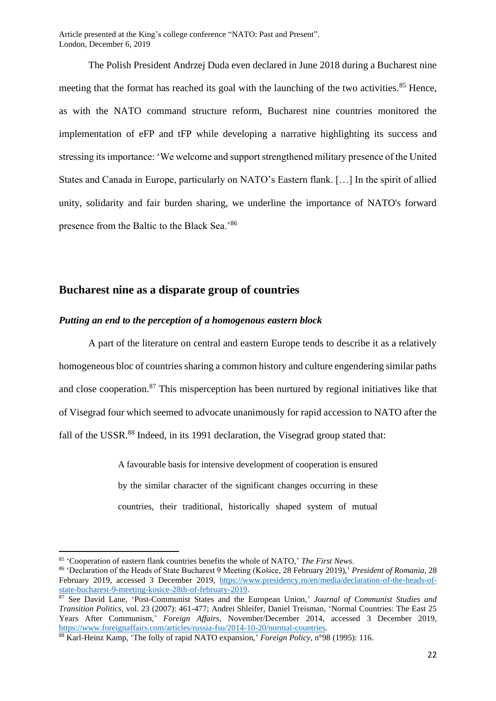The Polish President Andrzej Duda even declared in June 2018 during a Bucharest nine meeting that the format has reached its goal with the launching of the two activities.<sup>85</sup> Hence, as with the NATO command structure reform, Bucharest nine countries monitored the implementation of eFP and tFP while developing a narrative highlighting its success and stressing its importance: 'We welcome and support strengthened military presence of the United States and Canada in Europe, particularly on NATO's Eastern flank. […] In the spirit of allied unity, solidarity and fair burden sharing, we underline the importance of NATO's forward presence from the Baltic to the Black Sea.'<sup>86</sup>

### **Bucharest nine as a disparate group of countries**

#### *Putting an end to the perception of a homogenous eastern block*

A part of the literature on central and eastern Europe tends to describe it as a relatively homogeneous bloc of countries sharing a common history and culture engendering similar paths and close cooperation.<sup>87</sup> This misperception has been nurtured by regional initiatives like that of Visegrad four which seemed to advocate unanimously for rapid accession to NATO after the fall of the USSR.<sup>88</sup> Indeed, in its 1991 declaration, the Visegrad group stated that:

> A favourable basis for intensive development of cooperation is ensured by the similar character of the significant changes occurring in these countries, their traditional, historically shaped system of mutual

<sup>85</sup> 'Cooperation of eastern flank countries benefits the whole of NATO,' *The First News*.

<sup>86</sup> 'Declaration of the Heads of State Bucharest 9 Meeting (Košice, 28 February 2019),' *President of Romania*, 28 February 2019, accessed 3 December 2019, [https://www.presidency.ro/en/media/declaration-of-the-heads-of](https://www.presidency.ro/en/media/declaration-of-the-heads-of-state-bucharest-9-meeting-kosice-28th-of-february-2019)[state-bucharest-9-meeting-kosice-28th-of-february-2019.](https://www.presidency.ro/en/media/declaration-of-the-heads-of-state-bucharest-9-meeting-kosice-28th-of-february-2019)

<sup>87</sup> See David Lane, 'Post-Communist States and the European Union,' *Journal of Communist Studies and Transition Politics*, vol. 23 (2007): 461-477; Andrei Shleifer, Daniel Treisman, 'Normal Countries: The East 25 Years After Communism,' *Foreign Affairs*, November/December 2014, accessed 3 December 2019, [https://www.foreignaffairs.com/articles/russia-fsu/2014-10-20/normal-countries.](https://www.foreignaffairs.com/articles/russia-fsu/2014-10-20/normal-countries)

<sup>88</sup> Karl-Heinz Kamp, 'The folly of rapid NATO expansion,' *Foreign Policy*, n°98 (1995): 116.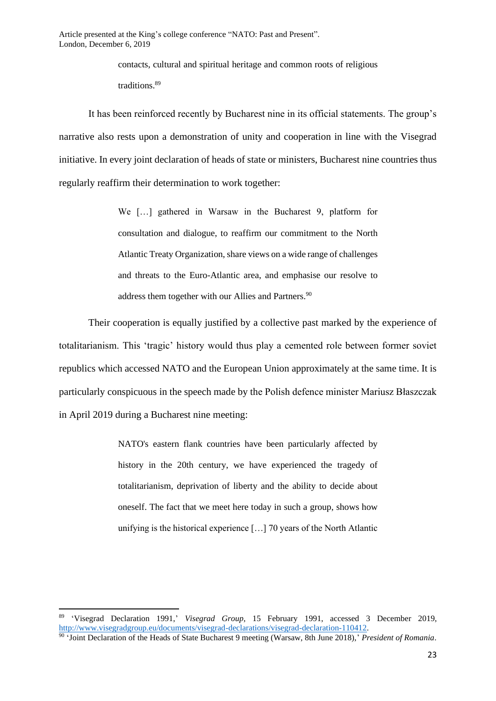contacts, cultural and spiritual heritage and common roots of religious traditions.<sup>89</sup>

It has been reinforced recently by Bucharest nine in its official statements. The group's narrative also rests upon a demonstration of unity and cooperation in line with the Visegrad initiative. In every joint declaration of heads of state or ministers, Bucharest nine countries thus regularly reaffirm their determination to work together:

> We […] gathered in Warsaw in the Bucharest 9, platform for consultation and dialogue, to reaffirm our commitment to the North Atlantic Treaty Organization, share views on a wide range of challenges and threats to the Euro-Atlantic area, and emphasise our resolve to address them together with our Allies and Partners.<sup>90</sup>

Their cooperation is equally justified by a collective past marked by the experience of totalitarianism. This 'tragic' history would thus play a cemented role between former soviet republics which accessed NATO and the European Union approximately at the same time. It is particularly conspicuous in the speech made by the Polish defence minister Mariusz Błaszczak in April 2019 during a Bucharest nine meeting:

> NATO's eastern flank countries have been particularly affected by history in the 20th century, we have experienced the tragedy of totalitarianism, deprivation of liberty and the ability to decide about oneself. The fact that we meet here today in such a group, shows how unifying is the historical experience […] 70 years of the North Atlantic

<sup>89</sup> 'Visegrad Declaration 1991,' *Visegrad Group*, 15 February 1991, accessed 3 December 2019, [http://www.visegradgroup.eu/documents/visegrad-declarations/visegrad-declaration-110412.](http://www.visegradgroup.eu/documents/visegrad-declarations/visegrad-declaration-110412)

<sup>90</sup> 'Joint Declaration of the Heads of State Bucharest 9 meeting (Warsaw, 8th June 2018),' *President of Romania*.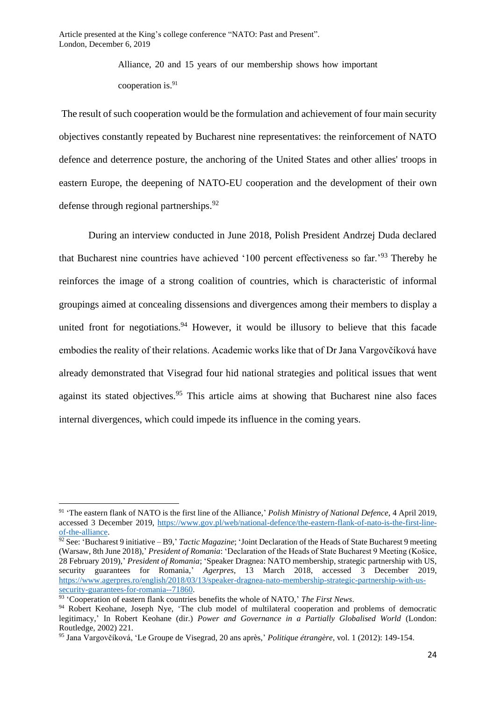Alliance, 20 and 15 years of our membership shows how important cooperation is.<sup>91</sup>

The result of such cooperation would be the formulation and achievement of four main security objectives constantly repeated by Bucharest nine representatives: the reinforcement of NATO defence and deterrence posture, the anchoring of the United States and other allies' troops in eastern Europe, the deepening of NATO-EU cooperation and the development of their own defense through regional partnerships.<sup>92</sup>

During an interview conducted in June 2018, Polish President Andrzej Duda declared that Bucharest nine countries have achieved '100 percent effectiveness so far.'<sup>93</sup> Thereby he reinforces the image of a strong coalition of countries, which is characteristic of informal groupings aimed at concealing dissensions and divergences among their members to display a united front for negotiations.<sup>94</sup> However, it would be illusory to believe that this facade embodies the reality of their relations. Academic works like that of Dr Jana Vargovčíková have already demonstrated that Visegrad four hid national strategies and political issues that went against its stated objectives.<sup>95</sup> This article aims at showing that Bucharest nine also faces internal divergences, which could impede its influence in the coming years.

<sup>91</sup> 'The eastern flank of NATO is the first line of the Alliance,' *Polish Ministry of National Defence*, 4 April 2019, accessed 3 December 2019, [https://www.gov.pl/web/national-defence/the-eastern-flank-of-nato-is-the-first-line](https://www.gov.pl/web/national-defence/the-eastern-flank-of-nato-is-the-first-line-of-the-alliance)[of-the-alliance.](https://www.gov.pl/web/national-defence/the-eastern-flank-of-nato-is-the-first-line-of-the-alliance)

<sup>92</sup> See: 'Bucharest 9 initiative – B9,' *Tactic Magazine*; 'Joint Declaration of the Heads of State Bucharest 9 meeting (Warsaw, 8th June 2018),' *President of Romania*: 'Declaration of the Heads of State Bucharest 9 Meeting (Košice, 28 February 2019),' *President of Romania*; 'Speaker Dragnea: NATO membership, strategic partnership with US, security guarantees for Romania, *Agerpres*, 13 March 2018, accessed 3 December 2019, [https://www.agerpres.ro/english/2018/03/13/speaker-dragnea-nato-membership-strategic-partnership-with-us](https://www.agerpres.ro/english/2018/03/13/speaker-dragnea-nato-membership-strategic-partnership-with-us-security-guarantees-for-romania--71860)[security-guarantees-for-romania--71860.](https://www.agerpres.ro/english/2018/03/13/speaker-dragnea-nato-membership-strategic-partnership-with-us-security-guarantees-for-romania--71860)

<sup>93</sup> 'Cooperation of eastern flank countries benefits the whole of NATO,' *The First News*.

<sup>&</sup>lt;sup>94</sup> Robert Keohane, Joseph Nye, 'The club model of multilateral cooperation and problems of democratic legitimacy,' In Robert Keohane (dir.) *Power and Governance in a Partially Globalised World* (London: Routledge, 2002) 221.

<sup>95</sup> Jana Vargovčíková, 'Le Groupe de Visegrad, 20 ans après,' *Politique étrangère*, vol. 1 (2012): 149-154.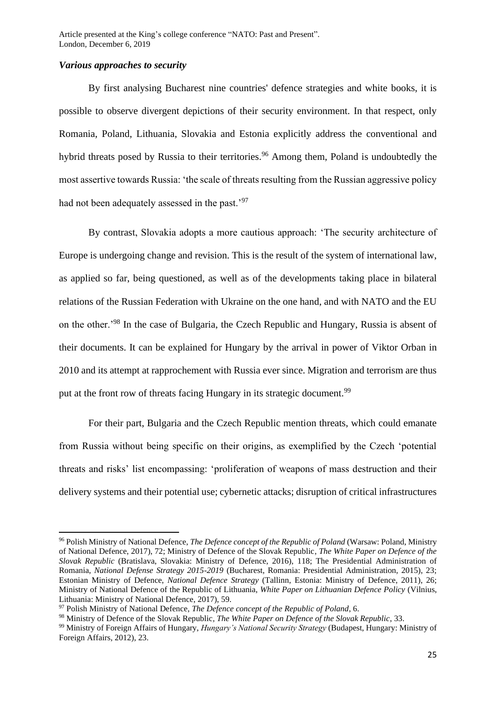#### *Various approaches to security*

By first analysing Bucharest nine countries' defence strategies and white books, it is possible to observe divergent depictions of their security environment. In that respect, only Romania, Poland, Lithuania, Slovakia and Estonia explicitly address the conventional and hybrid threats posed by Russia to their territories.<sup>96</sup> Among them, Poland is undoubtedly the most assertive towards Russia: 'the scale of threats resulting from the Russian aggressive policy had not been adequately assessed in the past.<sup>97</sup>

By contrast, Slovakia adopts a more cautious approach: 'The security architecture of Europe is undergoing change and revision. This is the result of the system of international law, as applied so far, being questioned, as well as of the developments taking place in bilateral relations of the Russian Federation with Ukraine on the one hand, and with NATO and the EU on the other.'<sup>98</sup> In the case of Bulgaria, the Czech Republic and Hungary, Russia is absent of their documents. It can be explained for Hungary by the arrival in power of Viktor Orban in 2010 and its attempt at rapprochement with Russia ever since. Migration and terrorism are thus put at the front row of threats facing Hungary in its strategic document.<sup>99</sup>

For their part, Bulgaria and the Czech Republic mention threats, which could emanate from Russia without being specific on their origins, as exemplified by the Czech 'potential threats and risks' list encompassing: 'proliferation of weapons of mass destruction and their delivery systems and their potential use; cybernetic attacks; disruption of critical infrastructures

<sup>96</sup> Polish Ministry of National Defence, *The Defence concept of the Republic of Poland* (Warsaw: Poland, Ministry of National Defence, 2017), 72; Ministry of Defence of the Slovak Republic*, The White Paper on Defence of the Slovak Republic* (Bratislava, Slovakia: Ministry of Defence, 2016), 118; The Presidential Administration of Romania, *National Defense Strategy 2015-2019* (Bucharest, Romania: Presidential Administration, 2015), 23; Estonian Ministry of Defence, *National Defence Strategy* (Tallinn, Estonia: Ministry of Defence, 2011), 26; Ministry of National Defence of the Republic of Lithuania, *White Paper on Lithuanian Defence Policy* (Vilnius, Lithuania: Ministry of National Defence, 2017), 59.

<sup>97</sup> Polish Ministry of National Defence, *The Defence concept of the Republic of Poland*, 6.

<sup>98</sup> Ministry of Defence of the Slovak Republic*, The White Paper on Defence of the Slovak Republic*, 33.

<sup>99</sup> Ministry of Foreign Affairs of Hungary, *Hungary's National Security Strategy* (Budapest, Hungary: Ministry of Foreign Affairs, 2012), 23.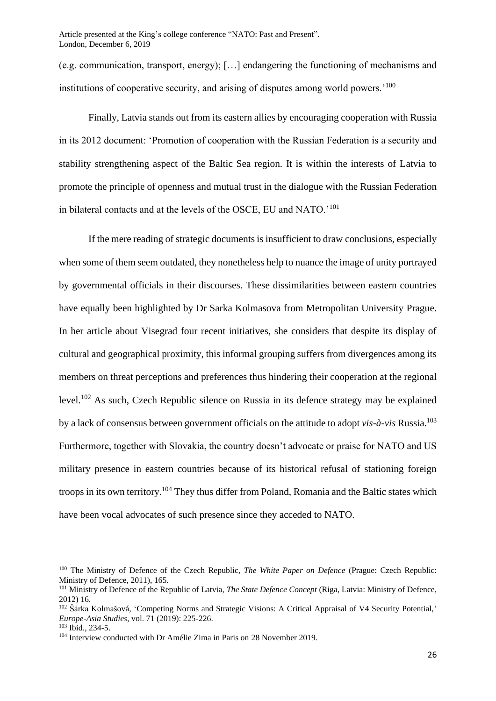(e.g. communication, transport, energy); […] endangering the functioning of mechanisms and institutions of cooperative security, and arising of disputes among world powers.<sup>'100</sup>

Finally, Latvia stands out from its eastern allies by encouraging cooperation with Russia in its 2012 document: 'Promotion of cooperation with the Russian Federation is a security and stability strengthening aspect of the Baltic Sea region. It is within the interests of Latvia to promote the principle of openness and mutual trust in the dialogue with the Russian Federation in bilateral contacts and at the levels of the OSCE, EU and NATO.'<sup>101</sup>

If the mere reading of strategic documents is insufficient to draw conclusions, especially when some of them seem outdated, they nonetheless help to nuance the image of unity portrayed by governmental officials in their discourses. These dissimilarities between eastern countries have equally been highlighted by Dr Sarka Kolmasova from Metropolitan University Prague. In her article about Visegrad four recent initiatives, she considers that despite its display of cultural and geographical proximity, this informal grouping suffers from divergences among its members on threat perceptions and preferences thus hindering their cooperation at the regional level.<sup>102</sup> As such, Czech Republic silence on Russia in its defence strategy may be explained by a lack of consensus between government officials on the attitude to adopt *vis-à-vis* Russia.<sup>103</sup> Furthermore, together with Slovakia, the country doesn't advocate or praise for NATO and US military presence in eastern countries because of its historical refusal of stationing foreign troops in its own territory.<sup>104</sup> They thus differ from Poland, Romania and the Baltic states which have been vocal advocates of such presence since they acceded to NATO.

<sup>100</sup> The Ministry of Defence of the Czech Republic, *The White Paper on Defence* (Prague: Czech Republic: Ministry of Defence, 2011), 165.

<sup>101</sup> Ministry of Defence of the Republic of Latvia, *The State Defence Concept* (Riga, Latvia: Ministry of Defence, 2012) 16.

<sup>&</sup>lt;sup>102</sup> Šárka Kolmašová, 'Competing Norms and Strategic Visions: A Critical Appraisal of V4 Security Potential,' *Europe-Asia Studies*, vol. 71 (2019): 225-226.

<sup>103</sup> Ibid., 234-5.

<sup>104</sup> Interview conducted with Dr Amélie Zima in Paris on 28 November 2019.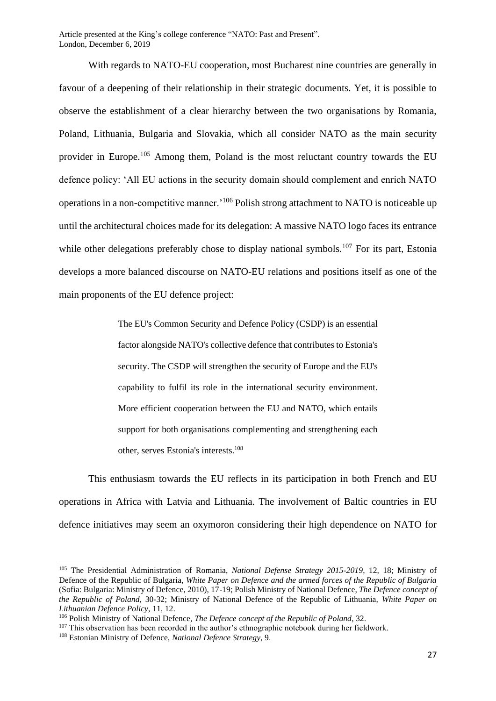With regards to NATO-EU cooperation, most Bucharest nine countries are generally in favour of a deepening of their relationship in their strategic documents. Yet, it is possible to observe the establishment of a clear hierarchy between the two organisations by Romania, Poland, Lithuania, Bulgaria and Slovakia, which all consider NATO as the main security provider in Europe.<sup>105</sup> Among them, Poland is the most reluctant country towards the EU defence policy: 'All EU actions in the security domain should complement and enrich NATO operations in a non-competitive manner.'<sup>106</sup> Polish strong attachment to NATO is noticeable up until the architectural choices made for its delegation: A massive NATO logo faces its entrance while other delegations preferably chose to display national symbols.<sup>107</sup> For its part, Estonia develops a more balanced discourse on NATO-EU relations and positions itself as one of the main proponents of the EU defence project:

> The EU's Common Security and Defence Policy (CSDP) is an essential factor alongside NATO's collective defence that contributes to Estonia's security. The CSDP will strengthen the security of Europe and the EU's capability to fulfil its role in the international security environment. More efficient cooperation between the EU and NATO, which entails support for both organisations complementing and strengthening each other, serves Estonia's interests.<sup>108</sup>

This enthusiasm towards the EU reflects in its participation in both French and EU operations in Africa with Latvia and Lithuania. The involvement of Baltic countries in EU defence initiatives may seem an oxymoron considering their high dependence on NATO for

<sup>105</sup> The Presidential Administration of Romania, *National Defense Strategy 2015-2019*, 12, 18; Ministry of Defence of the Republic of Bulgaria, *White Paper on Defence and the armed forces of the Republic of Bulgaria*  (Sofia: Bulgaria: Ministry of Defence, 2010), 17-19; Polish Ministry of National Defence, *The Defence concept of the Republic of Poland*, 30-32; Ministry of National Defence of the Republic of Lithuania, *White Paper on Lithuanian Defence Policy,* 11, 12.

<sup>106</sup> Polish Ministry of National Defence, *The Defence concept of the Republic of Poland*, 32.

<sup>&</sup>lt;sup>107</sup> This observation has been recorded in the author's ethnographic notebook during her fieldwork.

<sup>108</sup> Estonian Ministry of Defence, *National Defence Strategy*, 9.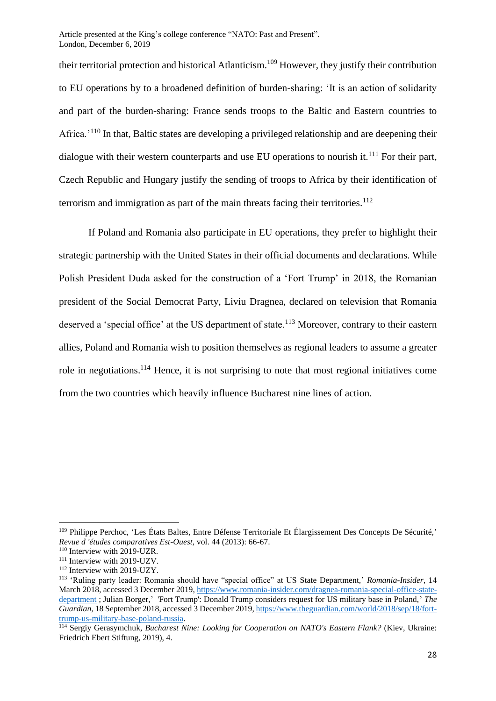their territorial protection and historical Atlanticism.<sup>109</sup> However, they justify their contribution to EU operations by to a broadened definition of burden-sharing: 'It is an action of solidarity and part of the burden-sharing: France sends troops to the Baltic and Eastern countries to Africa.<sup>'110</sup> In that, Baltic states are developing a privileged relationship and are deepening their dialogue with their western counterparts and use EU operations to nourish it.<sup>111</sup> For their part, Czech Republic and Hungary justify the sending of troops to Africa by their identification of terrorism and immigration as part of the main threats facing their territories.<sup>112</sup>

If Poland and Romania also participate in EU operations, they prefer to highlight their strategic partnership with the United States in their official documents and declarations. While Polish President Duda asked for the construction of a 'Fort Trump' in 2018, the Romanian president of the Social Democrat Party, Liviu Dragnea, declared on television that Romania deserved a 'special office' at the US department of state.<sup>113</sup> Moreover, contrary to their eastern allies, Poland and Romania wish to position themselves as regional leaders to assume a greater role in negotiations.<sup>114</sup> Hence, it is not surprising to note that most regional initiatives come from the two countries which heavily influence Bucharest nine lines of action.

<sup>109</sup> Philippe Perchoc, 'Les États Baltes, Entre Défense Territoriale Et Élargissement Des Concepts De Sécurité,' *Revue d 'études comparatives Est-Ouest*, vol. 44 (2013): 66-67.

<sup>&</sup>lt;sup>110</sup> Interview with 2019-UZR.

<sup>&</sup>lt;sup>111</sup> Interview with 2019-UZV.

<sup>&</sup>lt;sup>112</sup> Interview with 2019-UZY.

<sup>113</sup> 'Ruling party leader: Romania should have "special office" at US State Department,' *Romania-Insider*, 14 March 2018, accessed 3 December 2019[, https://www.romania-insider.com/dragnea-romania-special-office-state](https://www.romania-insider.com/dragnea-romania-special-office-state-department)[department](https://www.romania-insider.com/dragnea-romania-special-office-state-department) ; Julian Borger,' 'Fort Trump': Donald Trump considers request for US military base in Poland,' *The Guardian*, 18 September 2018, accessed 3 December 2019[, https://www.theguardian.com/world/2018/sep/18/fort](https://www.theguardian.com/world/2018/sep/18/fort-trump-us-military-base-poland-russia)[trump-us-military-base-poland-russia.](https://www.theguardian.com/world/2018/sep/18/fort-trump-us-military-base-poland-russia)

<sup>114</sup> Sergiy Gerasymchuk, *Bucharest Nine: Looking for Cooperation on NATO's Eastern Flank?* (Kiev, Ukraine: Friedrich Ebert Stiftung, 2019), 4.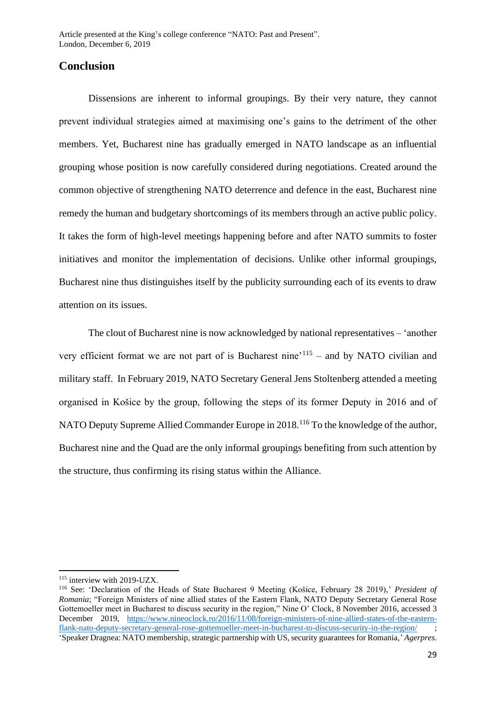### **Conclusion**

Dissensions are inherent to informal groupings. By their very nature, they cannot prevent individual strategies aimed at maximising one's gains to the detriment of the other members. Yet, Bucharest nine has gradually emerged in NATO landscape as an influential grouping whose position is now carefully considered during negotiations. Created around the common objective of strengthening NATO deterrence and defence in the east, Bucharest nine remedy the human and budgetary shortcomings of its members through an active public policy. It takes the form of high-level meetings happening before and after NATO summits to foster initiatives and monitor the implementation of decisions. Unlike other informal groupings, Bucharest nine thus distinguishes itself by the publicity surrounding each of its events to draw attention on its issues.

The clout of Bucharest nine is now acknowledged by national representatives – 'another very efficient format we are not part of is Bucharest nine<sup> $115$ </sup> – and by NATO civilian and military staff. In February 2019, NATO Secretary General Jens Stoltenberg attended a meeting organised in Košice by the group, following the steps of its former Deputy in 2016 and of NATO Deputy Supreme Allied Commander Europe in 2018.<sup>116</sup> To the knowledge of the author, Bucharest nine and the Quad are the only informal groupings benefiting from such attention by the structure, thus confirming its rising status within the Alliance.

<sup>115</sup> interview with 2019-UZX.

<sup>116</sup> See: 'Declaration of the Heads of State Bucharest 9 Meeting (Košice, February 28 2019),' *President of Romania*; "Foreign Ministers of nine allied states of the Eastern Flank, NATO Deputy Secretary General Rose Gottemoeller meet in Bucharest to discuss security in the region," Nine O' Clock, 8 November 2016, accessed 3 December 2019, [https://www.nineoclock.ro/2016/11/08/foreign-ministers-of-nine-allied-states-of-the-eastern](https://www.nineoclock.ro/2016/11/08/foreign-ministers-of-nine-allied-states-of-the-eastern-flank-nato-deputy-secretary-general-rose-gottemoeller-meet-in-bucharest-to-discuss-security-in-the-region/)[flank-nato-deputy-secretary-general-rose-gottemoeller-meet-in-bucharest-to-discuss-security-in-the-region/](https://www.nineoclock.ro/2016/11/08/foreign-ministers-of-nine-allied-states-of-the-eastern-flank-nato-deputy-secretary-general-rose-gottemoeller-meet-in-bucharest-to-discuss-security-in-the-region/) ; 'Speaker Dragnea: NATO membership, strategic partnership with US, security guarantees for Romania,' *Agerpres*.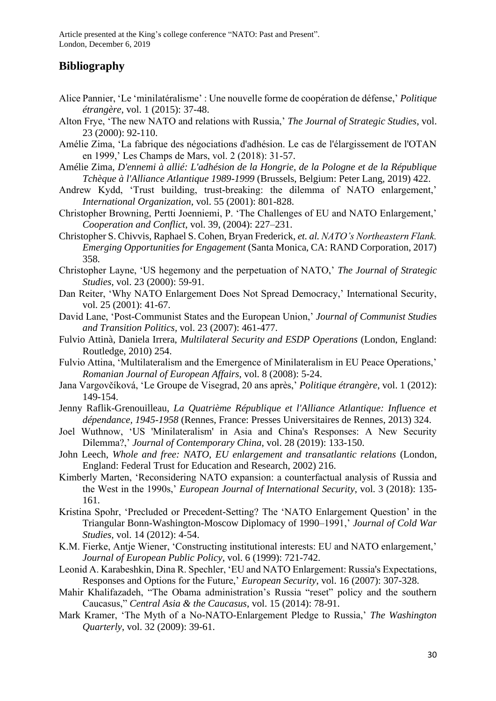## **Bibliography**

- Alice Pannier, 'Le 'minilatéralisme' : Une nouvelle forme de coopération de défense,' *Politique étrangère*, vol. 1 (2015): 37-48.
- Alton Frye, 'The new NATO and relations with Russia,' *The Journal of Strategic Studies*, vol. 23 (2000): 92-110.
- Amélie Zima, 'La fabrique des négociations d'adhésion. Le cas de l'élargissement de l'OTAN en 1999,' Les Champs de Mars, vol. 2 (2018): 31-57.
- Amélie Zima, *D'ennemi à allié: L'adhésion de la Hongrie, de la Pologne et de la République Tchèque à l'Alliance Atlantique 1989-1999* (Brussels, Belgium: Peter Lang, 2019) 422.
- Andrew Kydd, 'Trust building, trust-breaking: the dilemma of NATO enlargement,' *International Organization*, vol. 55 (2001): 801-828.
- Christopher Browning, Pertti Joenniemi, P. 'The Challenges of EU and NATO Enlargement,' *Cooperation and Conflict*, vol. 39, (2004): 227–231.
- Christopher S. Chivvis, Raphael S. Cohen, Bryan Frederick, *et. al. NATO's Northeastern Flank. Emerging Opportunities for Engagement* (Santa Monica, CA: RAND Corporation, 2017) 358.
- Christopher Layne, 'US hegemony and the perpetuation of NATO,' *The Journal of Strategic Studies*, vol. 23 (2000): 59-91.
- Dan Reiter, 'Why NATO Enlargement Does Not Spread Democracy,' International Security, vol. 25 (2001): 41-67.
- David Lane, 'Post-Communist States and the European Union,' *Journal of Communist Studies and Transition Politics*, vol. 23 (2007): 461-477.
- Fulvio Attinà, Daniela Irrera, *Multilateral Security and ESDP Operations* (London, England: Routledge, 2010) 254.
- Fulvio Attina, 'Multilateralism and the Emergence of Minilateralism in EU Peace Operations,' *Romanian Journal of European Affairs*, vol. 8 (2008): 5-24.
- Jana Vargovčíková, 'Le Groupe de Visegrad, 20 ans après,' *Politique étrangère*, vol. 1 (2012): 149-154.
- Jenny Raflik-Grenouilleau, *La Quatrième République et l'Alliance Atlantique: Influence et dépendance, 1945-1958* (Rennes, France: Presses Universitaires de Rennes, 2013) 324.
- Joel Wuthnow, 'US 'Minilateralism' in Asia and China's Responses: A New Security Dilemma?,' *Journal of Contemporary China*, vol. 28 (2019): 133-150.
- John Leech, *Whole and free: NATO, EU enlargement and transatlantic relations* (London, England: Federal Trust for Education and Research, 2002) 216.
- Kimberly Marten, 'Reconsidering NATO expansion: a counterfactual analysis of Russia and the West in the 1990s,' *European Journal of International Security*, vol. 3 (2018): 135- 161.
- Kristina Spohr, 'Precluded or Precedent-Setting? The 'NATO Enlargement Question' in the Triangular Bonn-Washington-Moscow Diplomacy of 1990–1991,' *Journal of Cold War Studies,* vol. 14 (2012): 4-54.
- K.M. Fierke, Antje Wiener, 'Constructing institutional interests: EU and NATO enlargement,' *Journal of European Public Policy*, vol. 6 (1999): 721-742.
- Leonid A. Karabeshkin, Dina R. Spechler, 'EU and NATO Enlargement: Russia's Expectations, Responses and Options for the Future,' *European Security*, vol. 16 (2007): 307-328.
- Mahir Khalifazadeh, "The Obama administration's Russia "reset" policy and the southern Caucasus," *Central Asia & the Caucasus*, vol. 15 (2014): 78-91.
- Mark Kramer, 'The Myth of a No-NATO-Enlargement Pledge to Russia,' *The Washington Quarterly*, vol. 32 (2009): 39-61.